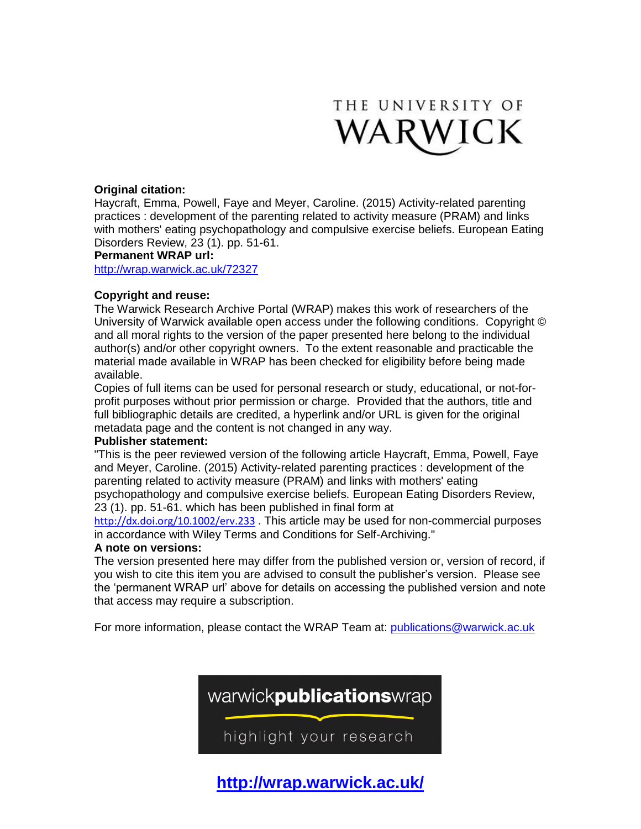

## **Original citation:**

Haycraft, Emma, Powell, Faye and Meyer, Caroline. (2015) Activity-related parenting practices : development of the parenting related to activity measure (PRAM) and links with mothers' eating psychopathology and compulsive exercise beliefs. European Eating Disorders Review, 23 (1). pp. 51-61.

## **Permanent WRAP url:**

<http://wrap.warwick.ac.uk/72327>

## **Copyright and reuse:**

The Warwick Research Archive Portal (WRAP) makes this work of researchers of the University of Warwick available open access under the following conditions. Copyright © and all moral rights to the version of the paper presented here belong to the individual author(s) and/or other copyright owners. To the extent reasonable and practicable the material made available in WRAP has been checked for eligibility before being made available.

Copies of full items can be used for personal research or study, educational, or not-forprofit purposes without prior permission or charge. Provided that the authors, title and full bibliographic details are credited, a hyperlink and/or URL is given for the original metadata page and the content is not changed in any way.

## **Publisher statement:**

"This is the peer reviewed version of the following article Haycraft, Emma, Powell, Faye and Meyer, Caroline. (2015) Activity-related parenting practices : development of the parenting related to activity measure (PRAM) and links with mothers' eating psychopathology and compulsive exercise beliefs. European Eating Disorders Review, 23 (1). pp. 51-61. which has been published in final form at

<http://dx.doi.org/10.1002/erv.233> . This article may be used for non-commercial purposes in accordance with Wiley Terms and Conditions for Self-Archiving."

## **A note on versions:**

The version presented here may differ from the published version or, version of record, if you wish to cite this item you are advised to consult the publisher's version. Please see the 'permanent WRAP url' above for details on accessing the published version and note that access may require a subscription.

For more information, please contact the WRAP Team at: [publications@warwick.ac.uk](mailto:publications@warwick.ac.uk)



**<http://wrap.warwick.ac.uk/>**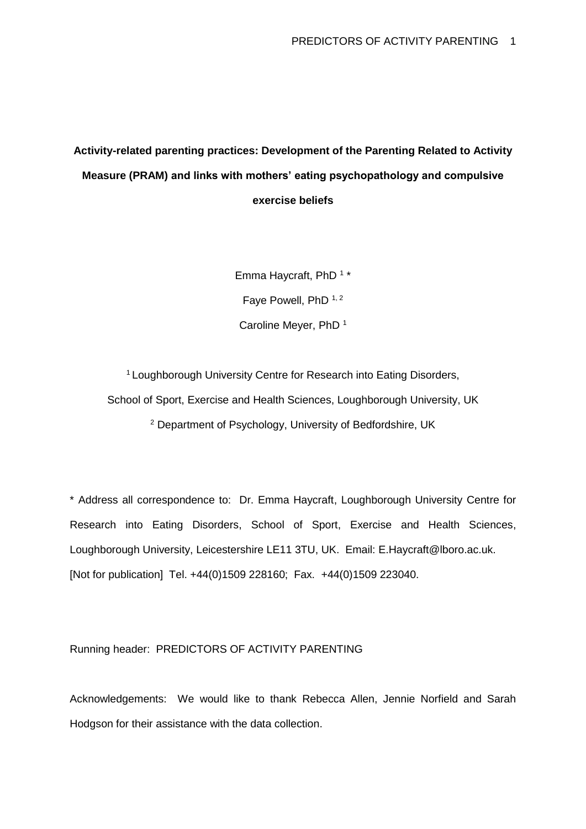# **Activity-related parenting practices: Development of the Parenting Related to Activity Measure (PRAM) and links with mothers' eating psychopathology and compulsive exercise beliefs**

Emma Haycraft, PhD  $1 *$ Faye Powell, PhD  $1, 2$ Caroline Meyer, PhD <sup>1</sup>

<sup>1</sup> Loughborough University Centre for Research into Eating Disorders, School of Sport, Exercise and Health Sciences, Loughborough University, UK <sup>2</sup> Department of Psychology, University of Bedfordshire, UK

\* Address all correspondence to: Dr. Emma Haycraft, Loughborough University Centre for Research into Eating Disorders, School of Sport, Exercise and Health Sciences, Loughborough University, Leicestershire LE11 3TU, UK. Email: E.Haycraft@lboro.ac.uk. [Not for publication] Tel. +44(0)1509 228160; Fax. +44(0)1509 223040.

Running header: PREDICTORS OF ACTIVITY PARENTING

Acknowledgements: We would like to thank Rebecca Allen, Jennie Norfield and Sarah Hodgson for their assistance with the data collection.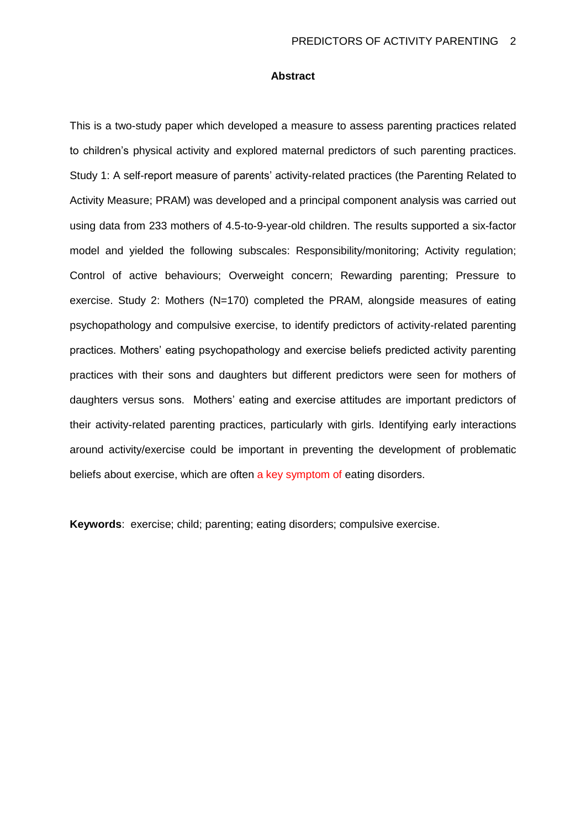#### **Abstract**

This is a two-study paper which developed a measure to assess parenting practices related to children's physical activity and explored maternal predictors of such parenting practices. Study 1: A self-report measure of parents' activity-related practices (the Parenting Related to Activity Measure; PRAM) was developed and a principal component analysis was carried out using data from 233 mothers of 4.5-to-9-year-old children. The results supported a six-factor model and yielded the following subscales: Responsibility/monitoring; Activity regulation; Control of active behaviours; Overweight concern; Rewarding parenting; Pressure to exercise. Study 2: Mothers (N=170) completed the PRAM, alongside measures of eating psychopathology and compulsive exercise, to identify predictors of activity-related parenting practices. Mothers' eating psychopathology and exercise beliefs predicted activity parenting practices with their sons and daughters but different predictors were seen for mothers of daughters versus sons. Mothers' eating and exercise attitudes are important predictors of their activity-related parenting practices, particularly with girls. Identifying early interactions around activity/exercise could be important in preventing the development of problematic beliefs about exercise, which are often a key symptom of eating disorders.

**Keywords**: exercise; child; parenting; eating disorders; compulsive exercise.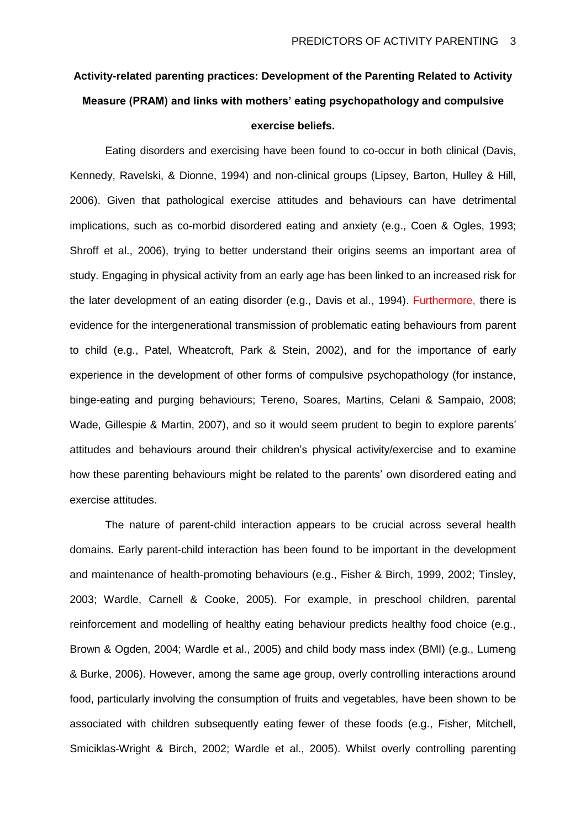# **Activity-related parenting practices: Development of the Parenting Related to Activity Measure (PRAM) and links with mothers' eating psychopathology and compulsive exercise beliefs.**

Eating disorders and exercising have been found to co-occur in both clinical (Davis, Kennedy, Ravelski, & Dionne, 1994) and non-clinical groups (Lipsey, Barton, Hulley & Hill, 2006). Given that pathological exercise attitudes and behaviours can have detrimental implications, such as co-morbid disordered eating and anxiety (e.g., Coen & Ogles, 1993; Shroff et al., 2006), trying to better understand their origins seems an important area of study. Engaging in physical activity from an early age has been linked to an increased risk for the later development of an eating disorder (e.g., Davis et al., 1994). Furthermore, there is evidence for the intergenerational transmission of problematic eating behaviours from parent to child (e.g., Patel, Wheatcroft, Park & Stein, 2002), and for the importance of early experience in the development of other forms of compulsive psychopathology (for instance, binge-eating and purging behaviours; Tereno, Soares, Martins, Celani & Sampaio, 2008; Wade, Gillespie & Martin, 2007), and so it would seem prudent to begin to explore parents' attitudes and behaviours around their children's physical activity/exercise and to examine how these parenting behaviours might be related to the parents' own disordered eating and exercise attitudes.

The nature of parent-child interaction appears to be crucial across several health domains. Early parent-child interaction has been found to be important in the development and maintenance of health-promoting behaviours (e.g., Fisher & Birch, 1999, 2002; Tinsley, 2003; Wardle, Carnell & Cooke, 2005). For example, in preschool children, parental reinforcement and modelling of healthy eating behaviour predicts healthy food choice (e.g., Brown & Ogden, 2004; Wardle et al., 2005) and child body mass index (BMI) (e.g., Lumeng & Burke, 2006). However, among the same age group, overly controlling interactions around food, particularly involving the consumption of fruits and vegetables, have been shown to be associated with children subsequently eating fewer of these foods (e.g., Fisher, Mitchell, Smiciklas-Wright & Birch, 2002; Wardle et al., 2005). Whilst overly controlling parenting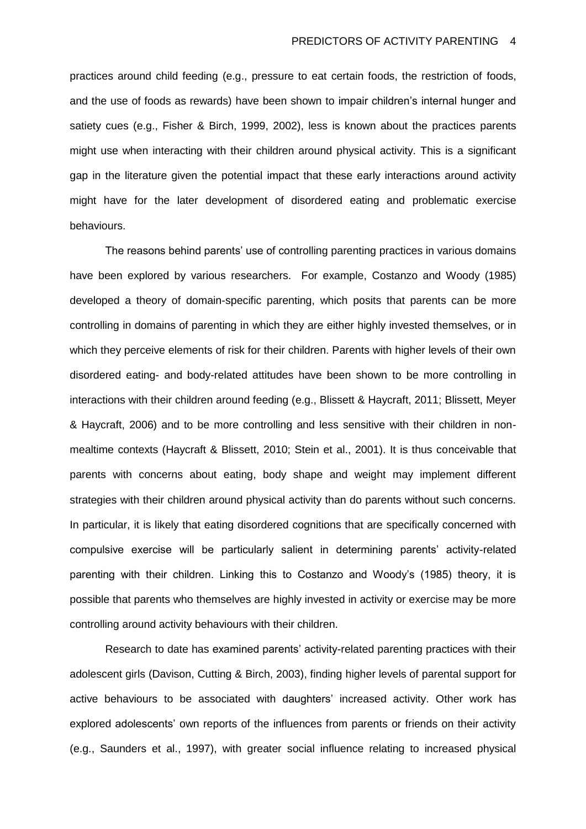practices around child feeding (e.g., pressure to eat certain foods, the restriction of foods, and the use of foods as rewards) have been shown to impair children's internal hunger and satiety cues (e.g., Fisher & Birch, 1999, 2002), less is known about the practices parents might use when interacting with their children around physical activity. This is a significant gap in the literature given the potential impact that these early interactions around activity might have for the later development of disordered eating and problematic exercise behaviours.

The reasons behind parents' use of controlling parenting practices in various domains have been explored by various researchers. For example, Costanzo and Woody (1985) developed a theory of domain-specific parenting, which posits that parents can be more controlling in domains of parenting in which they are either highly invested themselves, or in which they perceive elements of risk for their children. Parents with higher levels of their own disordered eating- and body-related attitudes have been shown to be more controlling in interactions with their children around feeding (e.g., Blissett & Haycraft, 2011; Blissett, Meyer & Haycraft, 2006) and to be more controlling and less sensitive with their children in nonmealtime contexts (Haycraft & Blissett, 2010; Stein et al., 2001). It is thus conceivable that parents with concerns about eating, body shape and weight may implement different strategies with their children around physical activity than do parents without such concerns. In particular, it is likely that eating disordered cognitions that are specifically concerned with compulsive exercise will be particularly salient in determining parents' activity-related parenting with their children. Linking this to Costanzo and Woody's (1985) theory, it is possible that parents who themselves are highly invested in activity or exercise may be more controlling around activity behaviours with their children.

Research to date has examined parents' activity-related parenting practices with their adolescent girls (Davison, Cutting & Birch, 2003), finding higher levels of parental support for active behaviours to be associated with daughters' increased activity. Other work has explored adolescents' own reports of the influences from parents or friends on their activity (e.g., Saunders et al., 1997), with greater social influence relating to increased physical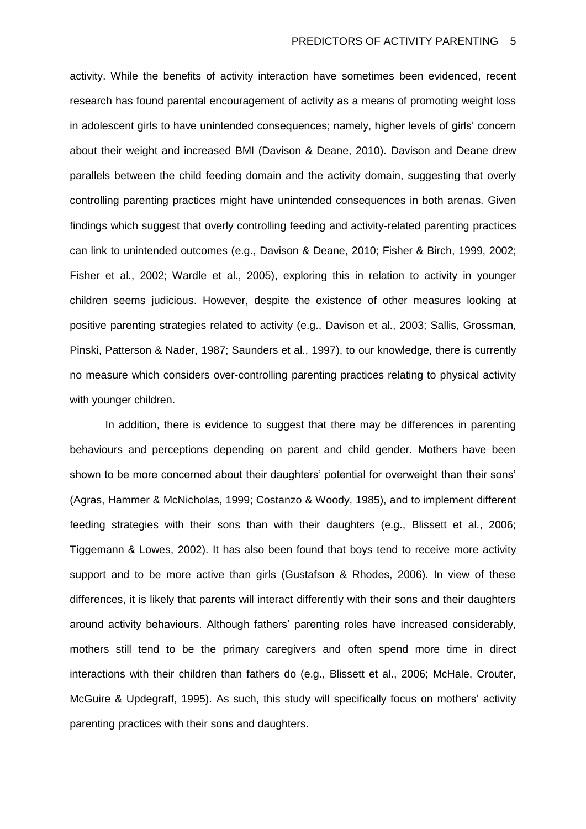activity. While the benefits of activity interaction have sometimes been evidenced, recent research has found parental encouragement of activity as a means of promoting weight loss in adolescent girls to have unintended consequences; namely, higher levels of girls' concern about their weight and increased BMI (Davison & Deane, 2010). Davison and Deane drew parallels between the child feeding domain and the activity domain, suggesting that overly controlling parenting practices might have unintended consequences in both arenas. Given findings which suggest that overly controlling feeding and activity-related parenting practices can link to unintended outcomes (e.g., Davison & Deane, 2010; Fisher & Birch, 1999, 2002; Fisher et al., 2002; Wardle et al., 2005), exploring this in relation to activity in younger children seems judicious. However, despite the existence of other measures looking at positive parenting strategies related to activity (e.g., Davison et al., 2003; Sallis, Grossman, Pinski, Patterson & Nader, 1987; Saunders et al., 1997), to our knowledge, there is currently no measure which considers over-controlling parenting practices relating to physical activity with younger children.

In addition, there is evidence to suggest that there may be differences in parenting behaviours and perceptions depending on parent and child gender. Mothers have been shown to be more concerned about their daughters' potential for overweight than their sons' (Agras, Hammer & McNicholas, 1999; Costanzo & Woody, 1985), and to implement different feeding strategies with their sons than with their daughters (e.g., Blissett et al., 2006; Tiggemann & Lowes, 2002). It has also been found that boys tend to receive more activity support and to be more active than girls (Gustafson & Rhodes, 2006). In view of these differences, it is likely that parents will interact differently with their sons and their daughters around activity behaviours. Although fathers' parenting roles have increased considerably, mothers still tend to be the primary caregivers and often spend more time in direct interactions with their children than fathers do (e.g., Blissett et al., 2006; McHale, Crouter, McGuire & Updegraff, 1995). As such, this study will specifically focus on mothers' activity parenting practices with their sons and daughters.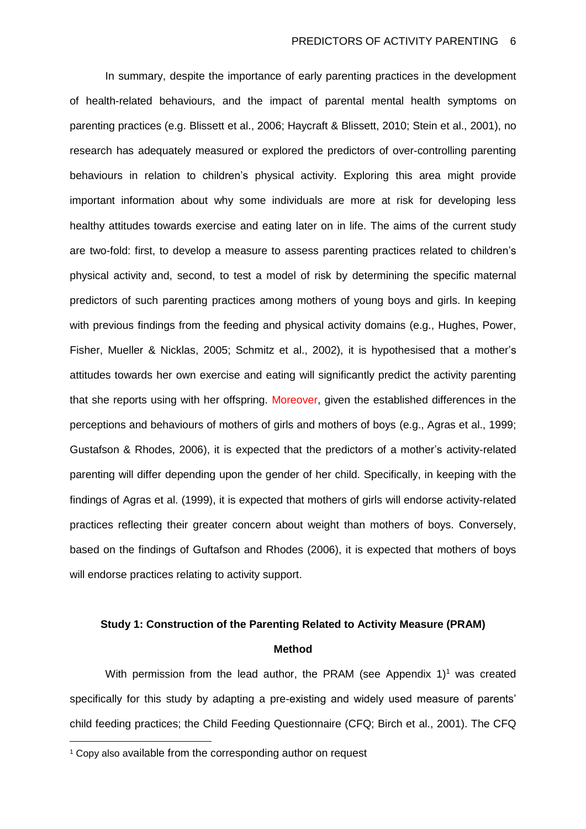In summary, despite the importance of early parenting practices in the development of health-related behaviours, and the impact of parental mental health symptoms on parenting practices (e.g. Blissett et al., 2006; Haycraft & Blissett, 2010; Stein et al., 2001), no research has adequately measured or explored the predictors of over-controlling parenting behaviours in relation to children's physical activity. Exploring this area might provide important information about why some individuals are more at risk for developing less healthy attitudes towards exercise and eating later on in life. The aims of the current study are two-fold: first, to develop a measure to assess parenting practices related to children's physical activity and, second, to test a model of risk by determining the specific maternal predictors of such parenting practices among mothers of young boys and girls. In keeping with previous findings from the feeding and physical activity domains (e.g., Hughes, Power, Fisher, Mueller & Nicklas, 2005; Schmitz et al., 2002), it is hypothesised that a mother's attitudes towards her own exercise and eating will significantly predict the activity parenting that she reports using with her offspring. Moreover, given the established differences in the perceptions and behaviours of mothers of girls and mothers of boys (e.g., Agras et al., 1999; Gustafson & Rhodes, 2006), it is expected that the predictors of a mother's activity-related parenting will differ depending upon the gender of her child. Specifically, in keeping with the findings of Agras et al. (1999), it is expected that mothers of girls will endorse activity-related practices reflecting their greater concern about weight than mothers of boys. Conversely, based on the findings of Guftafson and Rhodes (2006), it is expected that mothers of boys will endorse practices relating to activity support.

# **Study 1: Construction of the Parenting Related to Activity Measure (PRAM) Method**

With permission from the lead author, the PRAM (see Appendix  $1$ <sup>1</sup> was created specifically for this study by adapting a pre-existing and widely used measure of parents' child feeding practices; the Child Feeding Questionnaire (CFQ; Birch et al., 2001). The CFQ

 $\overline{a}$ 

<sup>1</sup> Copy also available from the corresponding author on request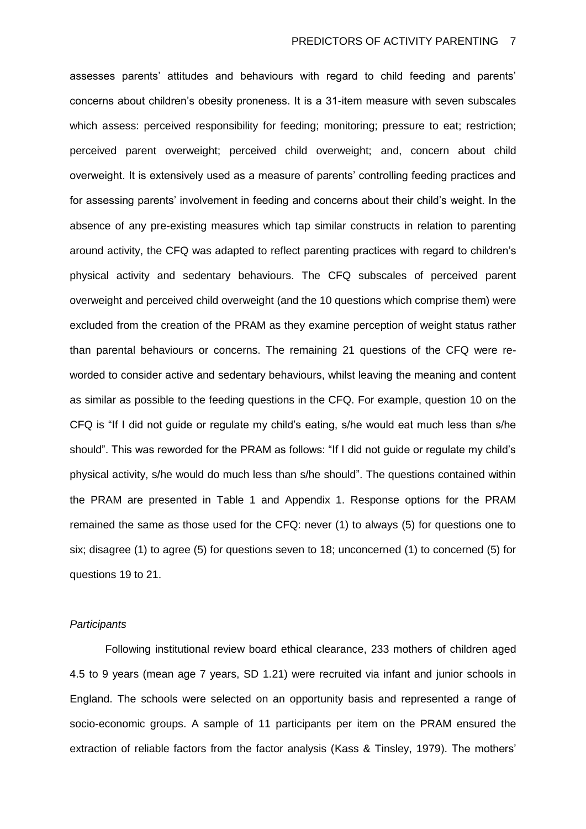assesses parents' attitudes and behaviours with regard to child feeding and parents' concerns about children's obesity proneness. It is a 31-item measure with seven subscales which assess: perceived responsibility for feeding; monitoring; pressure to eat; restriction; perceived parent overweight; perceived child overweight; and, concern about child overweight. It is extensively used as a measure of parents' controlling feeding practices and for assessing parents' involvement in feeding and concerns about their child's weight. In the absence of any pre-existing measures which tap similar constructs in relation to parenting around activity, the CFQ was adapted to reflect parenting practices with regard to children's physical activity and sedentary behaviours. The CFQ subscales of perceived parent overweight and perceived child overweight (and the 10 questions which comprise them) were excluded from the creation of the PRAM as they examine perception of weight status rather than parental behaviours or concerns. The remaining 21 questions of the CFQ were reworded to consider active and sedentary behaviours, whilst leaving the meaning and content as similar as possible to the feeding questions in the CFQ. For example, question 10 on the CFQ is "If I did not guide or regulate my child's eating, s/he would eat much less than s/he should". This was reworded for the PRAM as follows: "If I did not guide or regulate my child's physical activity, s/he would do much less than s/he should". The questions contained within the PRAM are presented in Table 1 and Appendix 1. Response options for the PRAM remained the same as those used for the CFQ: never (1) to always (5) for questions one to six; disagree (1) to agree (5) for questions seven to 18; unconcerned (1) to concerned (5) for questions 19 to 21.

### *Participants*

Following institutional review board ethical clearance, 233 mothers of children aged 4.5 to 9 years (mean age 7 years, SD 1.21) were recruited via infant and junior schools in England. The schools were selected on an opportunity basis and represented a range of socio-economic groups. A sample of 11 participants per item on the PRAM ensured the extraction of reliable factors from the factor analysis (Kass & Tinsley, 1979). The mothers'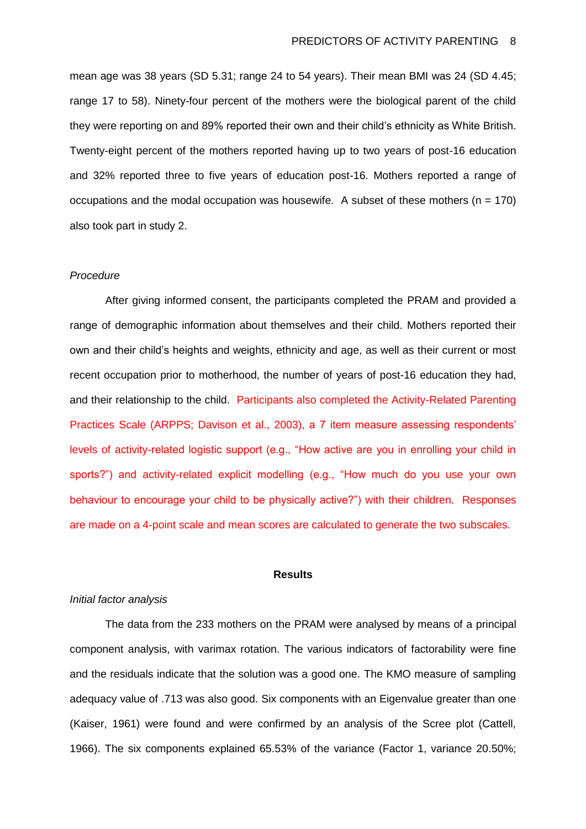mean age was 38 years (SD 5.31; range 24 to 54 years). Their mean BMI was 24 (SD 4.45; range 17 to 58). Ninety-four percent of the mothers were the biological parent of the child they were reporting on and 89% reported their own and their child's ethnicity as White British. Twenty-eight percent of the mothers reported having up to two years of post-16 education and 32% reported three to five years of education post-16. Mothers reported a range of occupations and the modal occupation was housewife. A subset of these mothers ( $n = 170$ ) also took part in study 2.

## *Procedure*

After giving informed consent, the participants completed the PRAM and provided a range of demographic information about themselves and their child. Mothers reported their own and their child's heights and weights, ethnicity and age, as well as their current or most recent occupation prior to motherhood, the number of years of post-16 education they had, and their relationship to the child. Participants also completed the Activity-Related Parenting Practices Scale (ARPPS; Davison et al., 2003), a 7 item measure assessing respondents' levels of activity-related logistic support (e.g., "How active are you in enrolling your child in sports?") and activity-related explicit modelling (e.g., "How much do you use your own behaviour to encourage your child to be physically active?") with their children. Responses are made on a 4-point scale and mean scores are calculated to generate the two subscales.

#### **Results**

#### *Initial factor analysis*

The data from the 233 mothers on the PRAM were analysed by means of a principal component analysis, with varimax rotation. The various indicators of factorability were fine and the residuals indicate that the solution was a good one. The KMO measure of sampling adequacy value of .713 was also good. Six components with an Eigenvalue greater than one (Kaiser, 1961) were found and were confirmed by an analysis of the Scree plot (Cattell, 1966). The six components explained 65.53% of the variance (Factor 1, variance 20.50%;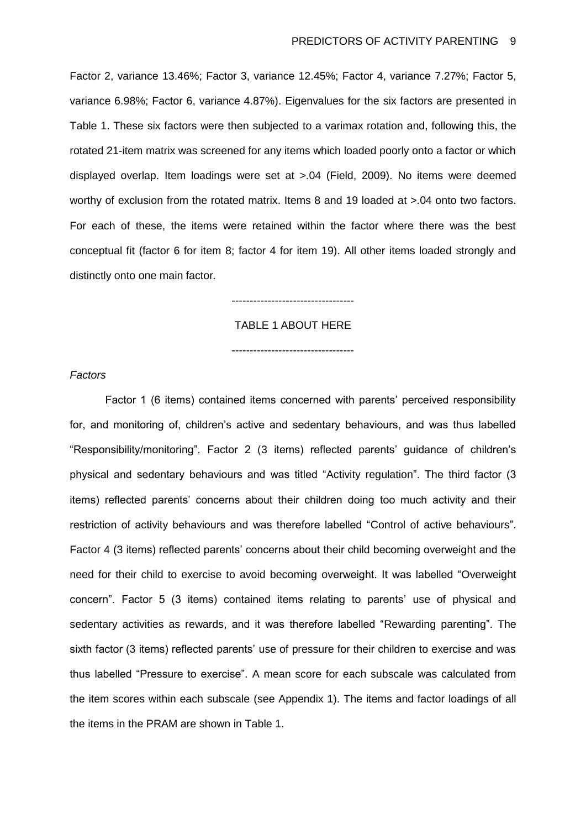Factor 2, variance 13.46%; Factor 3, variance 12.45%; Factor 4, variance 7.27%; Factor 5, variance 6.98%; Factor 6, variance 4.87%). Eigenvalues for the six factors are presented in Table 1. These six factors were then subjected to a varimax rotation and, following this, the rotated 21-item matrix was screened for any items which loaded poorly onto a factor or which displayed overlap. Item loadings were set at >.04 (Field, 2009). No items were deemed worthy of exclusion from the rotated matrix. Items 8 and 19 loaded at  $> 0.04$  onto two factors. For each of these, the items were retained within the factor where there was the best conceptual fit (factor 6 for item 8; factor 4 for item 19). All other items loaded strongly and distinctly onto one main factor.

#### ----------------------------------

TABLE 1 ABOUT HERE

----------------------------------

## *Factors*

Factor 1 (6 items) contained items concerned with parents' perceived responsibility for, and monitoring of, children's active and sedentary behaviours, and was thus labelled "Responsibility/monitoring". Factor 2 (3 items) reflected parents' guidance of children's physical and sedentary behaviours and was titled "Activity regulation". The third factor (3 items) reflected parents' concerns about their children doing too much activity and their restriction of activity behaviours and was therefore labelled "Control of active behaviours". Factor 4 (3 items) reflected parents' concerns about their child becoming overweight and the need for their child to exercise to avoid becoming overweight. It was labelled "Overweight concern". Factor 5 (3 items) contained items relating to parents' use of physical and sedentary activities as rewards, and it was therefore labelled "Rewarding parenting". The sixth factor (3 items) reflected parents' use of pressure for their children to exercise and was thus labelled "Pressure to exercise". A mean score for each subscale was calculated from the item scores within each subscale (see Appendix 1). The items and factor loadings of all the items in the PRAM are shown in Table 1.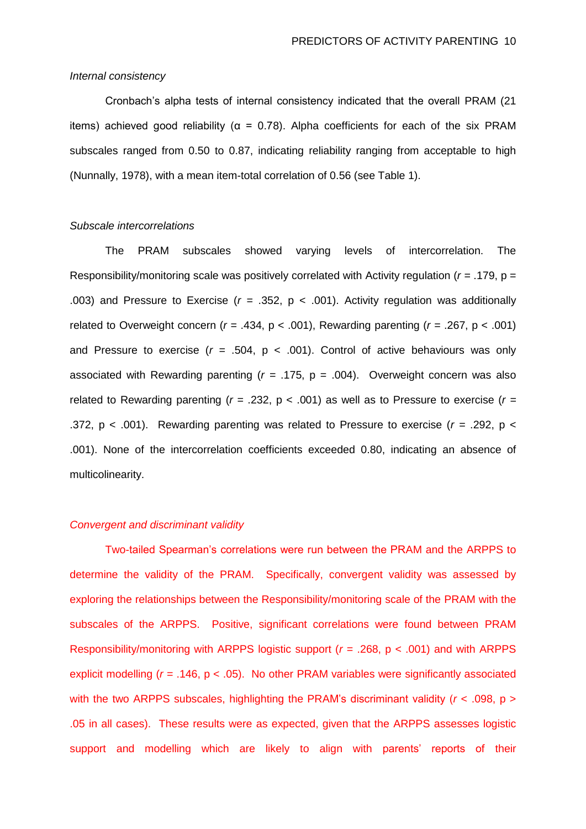## *Internal consistency*

Cronbach's alpha tests of internal consistency indicated that the overall PRAM (21 items) achieved good reliability ( $\alpha$  = 0.78). Alpha coefficients for each of the six PRAM subscales ranged from 0.50 to 0.87, indicating reliability ranging from acceptable to high (Nunnally, 1978), with a mean item-total correlation of 0.56 (see Table 1).

### *Subscale intercorrelations*

The PRAM subscales showed varying levels of intercorrelation. The Responsibility/monitoring scale was positively correlated with Activity regulation (*r =* .179, p = .003) and Pressure to Exercise (*r =* .352, p < .001). Activity regulation was additionally related to Overweight concern (*r =* .434, p < .001), Rewarding parenting (*r =* .267, p < .001) and Pressure to exercise (*r =* .504, p < .001). Control of active behaviours was only associated with Rewarding parenting (*r =* .175, p = .004). Overweight concern was also related to Rewarding parenting (*r =* .232, p < .001) as well as to Pressure to exercise (*r =* .372, p < .001). Rewarding parenting was related to Pressure to exercise (*r =* .292, p < .001). None of the intercorrelation coefficients exceeded 0.80, indicating an absence of multicolinearity.

#### *Convergent and discriminant validity*

Two-tailed Spearman's correlations were run between the PRAM and the ARPPS to determine the validity of the PRAM. Specifically, convergent validity was assessed by exploring the relationships between the Responsibility/monitoring scale of the PRAM with the subscales of the ARPPS. Positive, significant correlations were found between PRAM Responsibility/monitoring with ARPPS logistic support (*r =* .268, p < .001) and with ARPPS explicit modelling (*r =* .146, p < .05). No other PRAM variables were significantly associated with the two ARPPS subscales, highlighting the PRAM's discriminant validity  $(r < .098, p > )$ .05 in all cases). These results were as expected, given that the ARPPS assesses logistic support and modelling which are likely to align with parents' reports of their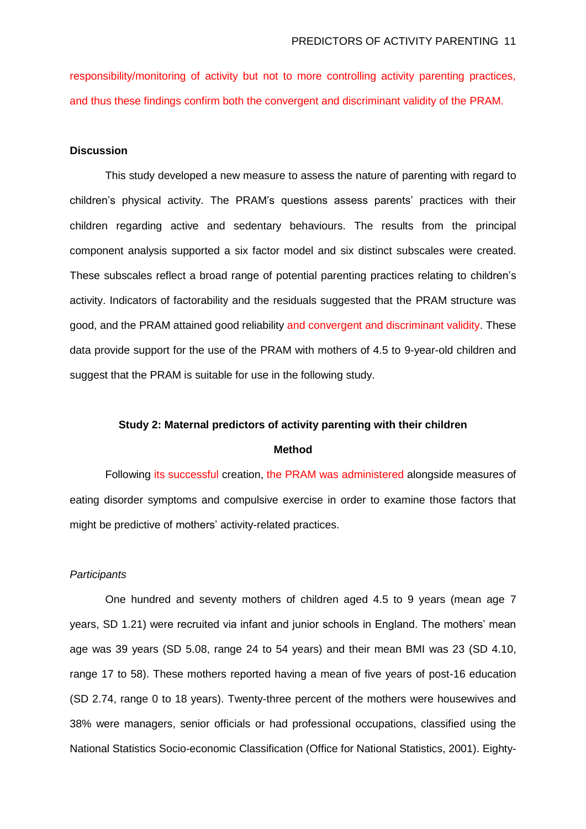responsibility/monitoring of activity but not to more controlling activity parenting practices, and thus these findings confirm both the convergent and discriminant validity of the PRAM.

## **Discussion**

This study developed a new measure to assess the nature of parenting with regard to children's physical activity. The PRAM's questions assess parents' practices with their children regarding active and sedentary behaviours. The results from the principal component analysis supported a six factor model and six distinct subscales were created. These subscales reflect a broad range of potential parenting practices relating to children's activity. Indicators of factorability and the residuals suggested that the PRAM structure was good, and the PRAM attained good reliability and convergent and discriminant validity. These data provide support for the use of the PRAM with mothers of 4.5 to 9-year-old children and suggest that the PRAM is suitable for use in the following study.

## **Study 2: Maternal predictors of activity parenting with their children**

#### **Method**

Following its successful creation, the PRAM was administered alongside measures of eating disorder symptoms and compulsive exercise in order to examine those factors that might be predictive of mothers' activity-related practices.

#### *Participants*

One hundred and seventy mothers of children aged 4.5 to 9 years (mean age 7 years, SD 1.21) were recruited via infant and junior schools in England. The mothers' mean age was 39 years (SD 5.08, range 24 to 54 years) and their mean BMI was 23 (SD 4.10, range 17 to 58). These mothers reported having a mean of five years of post-16 education (SD 2.74, range 0 to 18 years). Twenty-three percent of the mothers were housewives and 38% were managers, senior officials or had professional occupations, classified using the National Statistics Socio-economic Classification (Office for National Statistics, 2001). Eighty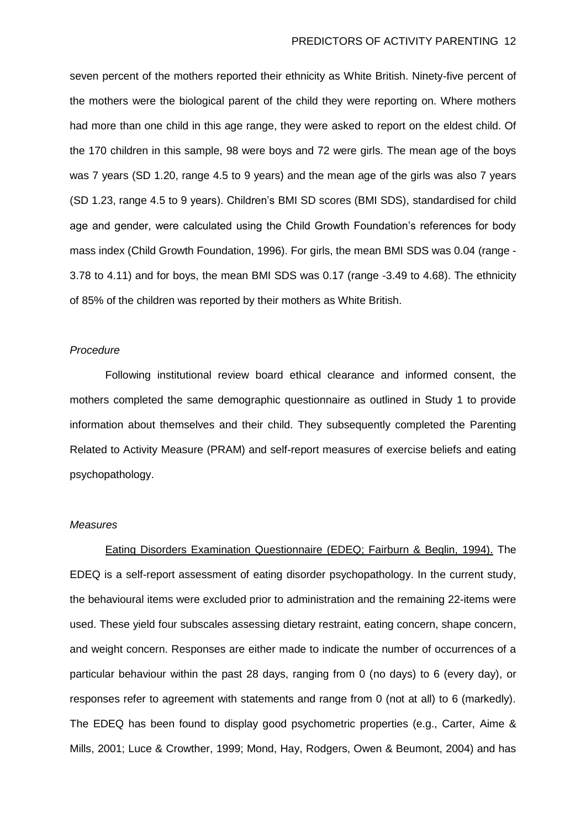seven percent of the mothers reported their ethnicity as White British. Ninety-five percent of the mothers were the biological parent of the child they were reporting on. Where mothers had more than one child in this age range, they were asked to report on the eldest child. Of the 170 children in this sample, 98 were boys and 72 were girls. The mean age of the boys was 7 years (SD 1.20, range 4.5 to 9 years) and the mean age of the girls was also 7 years (SD 1.23, range 4.5 to 9 years). Children's BMI SD scores (BMI SDS), standardised for child age and gender, were calculated using the Child Growth Foundation's references for body mass index (Child Growth Foundation, 1996). For girls, the mean BMI SDS was 0.04 (range - 3.78 to 4.11) and for boys, the mean BMI SDS was 0.17 (range -3.49 to 4.68). The ethnicity of 85% of the children was reported by their mothers as White British.

#### *Procedure*

Following institutional review board ethical clearance and informed consent, the mothers completed the same demographic questionnaire as outlined in Study 1 to provide information about themselves and their child. They subsequently completed the Parenting Related to Activity Measure (PRAM) and self-report measures of exercise beliefs and eating psychopathology.

#### *Measures*

Eating Disorders Examination Questionnaire (EDEQ; Fairburn & Beglin, 1994). The EDEQ is a self-report assessment of eating disorder psychopathology. In the current study, the behavioural items were excluded prior to administration and the remaining 22-items were used. These yield four subscales assessing dietary restraint, eating concern, shape concern, and weight concern. Responses are either made to indicate the number of occurrences of a particular behaviour within the past 28 days, ranging from 0 (no days) to 6 (every day), or responses refer to agreement with statements and range from 0 (not at all) to 6 (markedly). The EDEQ has been found to display good psychometric properties (e.g., Carter, Aime & Mills, 2001; Luce & Crowther, 1999; Mond, Hay, Rodgers, Owen & Beumont, 2004) and has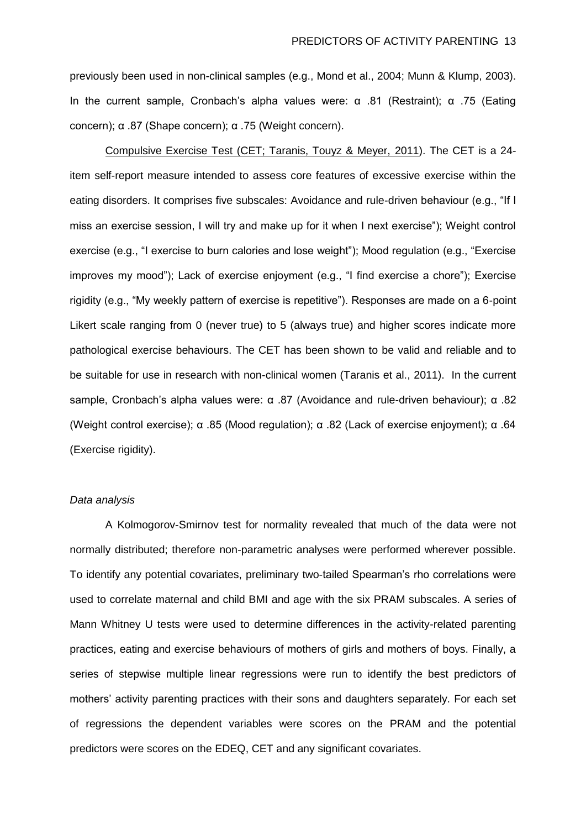previously been used in non-clinical samples (e.g., Mond et al., 2004; Munn & Klump, 2003). In the current sample, Cronbach's alpha values were: α .81 (Restraint); α .75 (Eating concern); α .87 (Shape concern); α .75 (Weight concern).

Compulsive Exercise Test (CET; Taranis, Touyz & Meyer, 2011). The CET is a 24 item self-report measure intended to assess core features of excessive exercise within the eating disorders. It comprises five subscales: Avoidance and rule-driven behaviour (e.g., "If I miss an exercise session, I will try and make up for it when I next exercise"); Weight control exercise (e.g., "I exercise to burn calories and lose weight"); Mood regulation (e.g., "Exercise improves my mood"); Lack of exercise enjoyment (e.g., "I find exercise a chore"); Exercise rigidity (e.g., "My weekly pattern of exercise is repetitive"). Responses are made on a 6-point Likert scale ranging from 0 (never true) to 5 (always true) and higher scores indicate more pathological exercise behaviours. The CET has been shown to be valid and reliable and to be suitable for use in research with non-clinical women (Taranis et al., 2011). In the current sample, Cronbach's alpha values were: α .87 (Avoidance and rule-driven behaviour); α .82 (Weight control exercise); α .85 (Mood regulation); α .82 (Lack of exercise enjoyment); α .64 (Exercise rigidity).

## *Data analysis*

A Kolmogorov-Smirnov test for normality revealed that much of the data were not normally distributed; therefore non-parametric analyses were performed wherever possible. To identify any potential covariates, preliminary two-tailed Spearman's rho correlations were used to correlate maternal and child BMI and age with the six PRAM subscales. A series of Mann Whitney U tests were used to determine differences in the activity-related parenting practices, eating and exercise behaviours of mothers of girls and mothers of boys. Finally, a series of stepwise multiple linear regressions were run to identify the best predictors of mothers' activity parenting practices with their sons and daughters separately. For each set of regressions the dependent variables were scores on the PRAM and the potential predictors were scores on the EDEQ, CET and any significant covariates.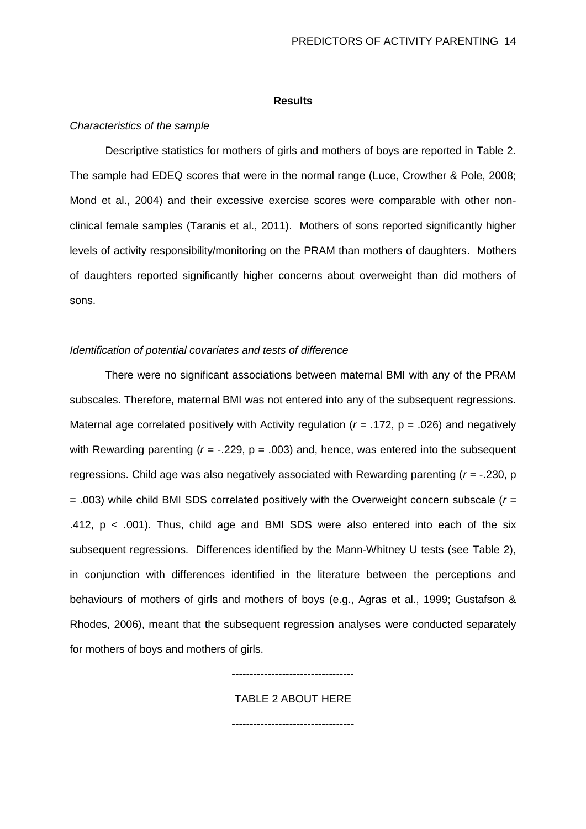#### **Results**

#### *Characteristics of the sample*

Descriptive statistics for mothers of girls and mothers of boys are reported in Table 2. The sample had EDEQ scores that were in the normal range (Luce, Crowther & Pole, 2008; Mond et al., 2004) and their excessive exercise scores were comparable with other nonclinical female samples (Taranis et al., 2011). Mothers of sons reported significantly higher levels of activity responsibility/monitoring on the PRAM than mothers of daughters. Mothers of daughters reported significantly higher concerns about overweight than did mothers of sons.

#### *Identification of potential covariates and tests of difference*

There were no significant associations between maternal BMI with any of the PRAM subscales. Therefore, maternal BMI was not entered into any of the subsequent regressions. Maternal age correlated positively with Activity regulation (*r =* .172, p = .026) and negatively with Rewarding parenting (*r =* -.229, p = .003) and, hence, was entered into the subsequent regressions. Child age was also negatively associated with Rewarding parenting (*r =* -.230, p = .003) while child BMI SDS correlated positively with the Overweight concern subscale (*r =* .412,  $p < .001$ ). Thus, child age and BMI SDS were also entered into each of the six subsequent regressions. Differences identified by the Mann-Whitney U tests (see Table 2), in conjunction with differences identified in the literature between the perceptions and behaviours of mothers of girls and mothers of boys (e.g., Agras et al., 1999; Gustafson & Rhodes, 2006), meant that the subsequent regression analyses were conducted separately for mothers of boys and mothers of girls.

## ----------------------------------

## TABLE 2 ABOUT HERE

----------------------------------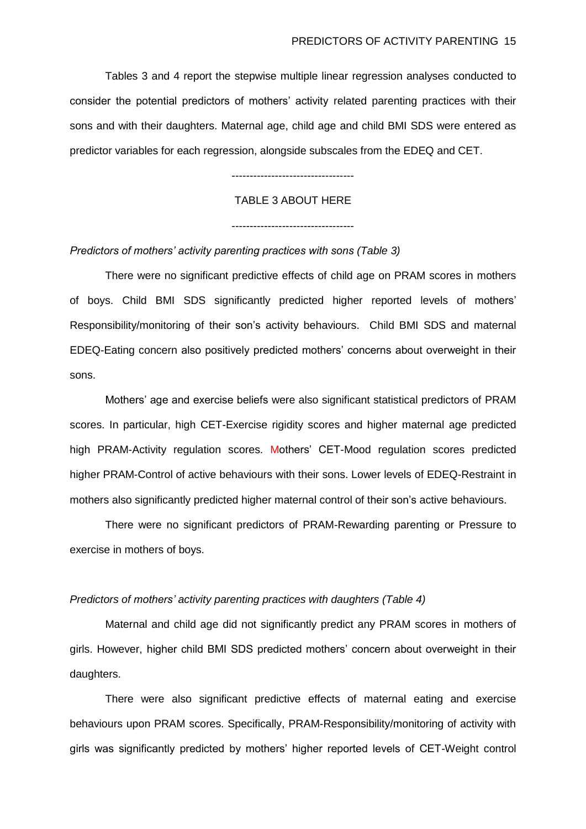Tables 3 and 4 report the stepwise multiple linear regression analyses conducted to consider the potential predictors of mothers' activity related parenting practices with their sons and with their daughters. Maternal age, child age and child BMI SDS were entered as predictor variables for each regression, alongside subscales from the EDEQ and CET.

----------------------------------

## TABLE 3 ABOUT HERE

#### *Predictors of mothers' activity parenting practices with sons (Table 3)*

There were no significant predictive effects of child age on PRAM scores in mothers of boys. Child BMI SDS significantly predicted higher reported levels of mothers' Responsibility/monitoring of their son's activity behaviours. Child BMI SDS and maternal EDEQ-Eating concern also positively predicted mothers' concerns about overweight in their sons.

Mothers' age and exercise beliefs were also significant statistical predictors of PRAM scores. In particular, high CET-Exercise rigidity scores and higher maternal age predicted high PRAM-Activity regulation scores. Mothers' CET-Mood regulation scores predicted higher PRAM-Control of active behaviours with their sons. Lower levels of EDEQ-Restraint in mothers also significantly predicted higher maternal control of their son's active behaviours.

There were no significant predictors of PRAM-Rewarding parenting or Pressure to exercise in mothers of boys.

### *Predictors of mothers' activity parenting practices with daughters (Table 4)*

Maternal and child age did not significantly predict any PRAM scores in mothers of girls. However, higher child BMI SDS predicted mothers' concern about overweight in their daughters.

There were also significant predictive effects of maternal eating and exercise behaviours upon PRAM scores. Specifically, PRAM-Responsibility/monitoring of activity with girls was significantly predicted by mothers' higher reported levels of CET-Weight control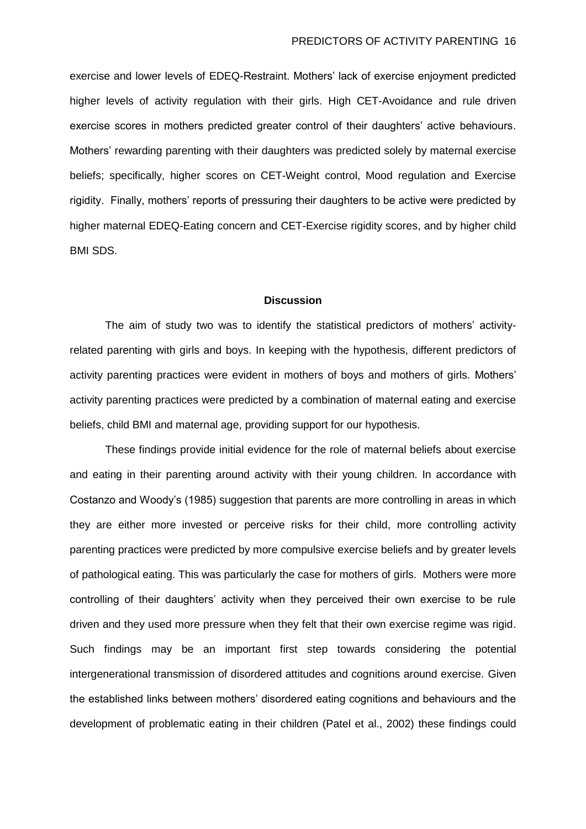exercise and lower levels of EDEQ-Restraint. Mothers' lack of exercise enjoyment predicted higher levels of activity regulation with their girls. High CET-Avoidance and rule driven exercise scores in mothers predicted greater control of their daughters' active behaviours. Mothers' rewarding parenting with their daughters was predicted solely by maternal exercise beliefs; specifically, higher scores on CET-Weight control, Mood regulation and Exercise rigidity. Finally, mothers' reports of pressuring their daughters to be active were predicted by higher maternal EDEQ-Eating concern and CET-Exercise rigidity scores, and by higher child BMI SDS.

#### **Discussion**

The aim of study two was to identify the statistical predictors of mothers' activityrelated parenting with girls and boys. In keeping with the hypothesis, different predictors of activity parenting practices were evident in mothers of boys and mothers of girls. Mothers' activity parenting practices were predicted by a combination of maternal eating and exercise beliefs, child BMI and maternal age, providing support for our hypothesis.

These findings provide initial evidence for the role of maternal beliefs about exercise and eating in their parenting around activity with their young children. In accordance with Costanzo and Woody's (1985) suggestion that parents are more controlling in areas in which they are either more invested or perceive risks for their child, more controlling activity parenting practices were predicted by more compulsive exercise beliefs and by greater levels of pathological eating. This was particularly the case for mothers of girls. Mothers were more controlling of their daughters' activity when they perceived their own exercise to be rule driven and they used more pressure when they felt that their own exercise regime was rigid. Such findings may be an important first step towards considering the potential intergenerational transmission of disordered attitudes and cognitions around exercise. Given the established links between mothers' disordered eating cognitions and behaviours and the development of problematic eating in their children (Patel et al., 2002) these findings could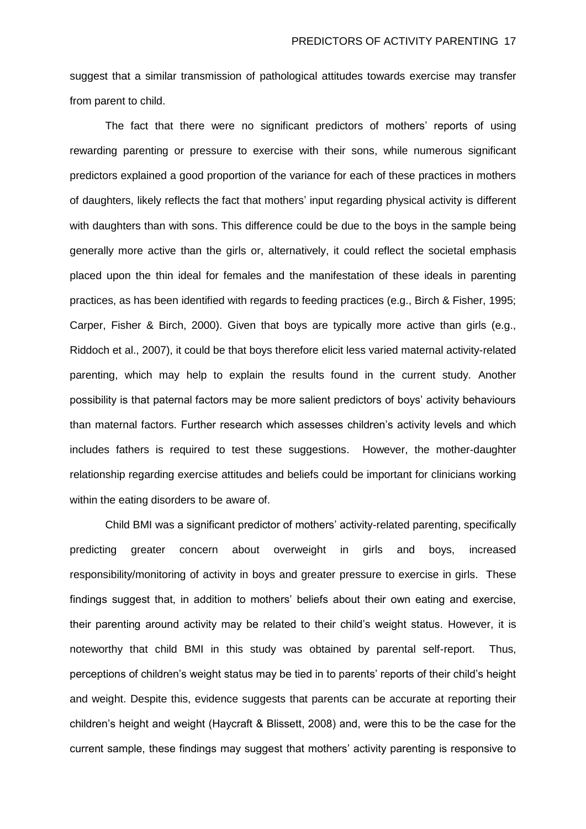suggest that a similar transmission of pathological attitudes towards exercise may transfer from parent to child.

The fact that there were no significant predictors of mothers' reports of using rewarding parenting or pressure to exercise with their sons, while numerous significant predictors explained a good proportion of the variance for each of these practices in mothers of daughters, likely reflects the fact that mothers' input regarding physical activity is different with daughters than with sons. This difference could be due to the boys in the sample being generally more active than the girls or, alternatively, it could reflect the societal emphasis placed upon the thin ideal for females and the manifestation of these ideals in parenting practices, as has been identified with regards to feeding practices (e.g., Birch & Fisher, 1995; Carper, Fisher & Birch, 2000). Given that boys are typically more active than girls (e.g., Riddoch et al., 2007), it could be that boys therefore elicit less varied maternal activity-related parenting, which may help to explain the results found in the current study. Another possibility is that paternal factors may be more salient predictors of boys' activity behaviours than maternal factors. Further research which assesses children's activity levels and which includes fathers is required to test these suggestions. However, the mother-daughter relationship regarding exercise attitudes and beliefs could be important for clinicians working within the eating disorders to be aware of.

Child BMI was a significant predictor of mothers' activity-related parenting, specifically predicting greater concern about overweight in girls and boys, increased responsibility/monitoring of activity in boys and greater pressure to exercise in girls. These findings suggest that, in addition to mothers' beliefs about their own eating and exercise, their parenting around activity may be related to their child's weight status. However, it is noteworthy that child BMI in this study was obtained by parental self-report. Thus, perceptions of children's weight status may be tied in to parents' reports of their child's height and weight. Despite this, evidence suggests that parents can be accurate at reporting their children's height and weight (Haycraft & Blissett, 2008) and, were this to be the case for the current sample, these findings may suggest that mothers' activity parenting is responsive to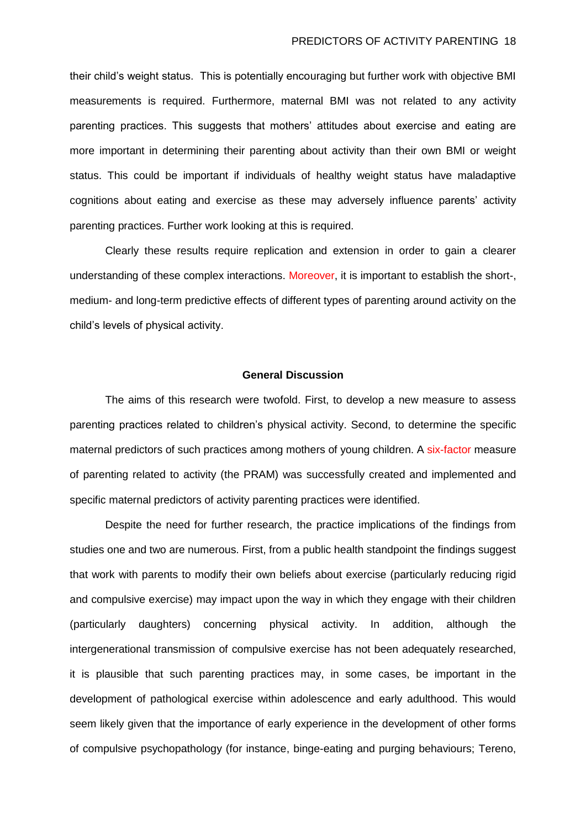their child's weight status. This is potentially encouraging but further work with objective BMI measurements is required. Furthermore, maternal BMI was not related to any activity parenting practices. This suggests that mothers' attitudes about exercise and eating are more important in determining their parenting about activity than their own BMI or weight status. This could be important if individuals of healthy weight status have maladaptive cognitions about eating and exercise as these may adversely influence parents' activity parenting practices. Further work looking at this is required.

Clearly these results require replication and extension in order to gain a clearer understanding of these complex interactions. Moreover, it is important to establish the short-, medium- and long-term predictive effects of different types of parenting around activity on the child's levels of physical activity.

#### **General Discussion**

The aims of this research were twofold. First, to develop a new measure to assess parenting practices related to children's physical activity. Second, to determine the specific maternal predictors of such practices among mothers of young children. A six-factor measure of parenting related to activity (the PRAM) was successfully created and implemented and specific maternal predictors of activity parenting practices were identified.

Despite the need for further research, the practice implications of the findings from studies one and two are numerous. First, from a public health standpoint the findings suggest that work with parents to modify their own beliefs about exercise (particularly reducing rigid and compulsive exercise) may impact upon the way in which they engage with their children (particularly daughters) concerning physical activity. In addition, although the intergenerational transmission of compulsive exercise has not been adequately researched, it is plausible that such parenting practices may, in some cases, be important in the development of pathological exercise within adolescence and early adulthood. This would seem likely given that the importance of early experience in the development of other forms of compulsive psychopathology (for instance, binge-eating and purging behaviours; Tereno,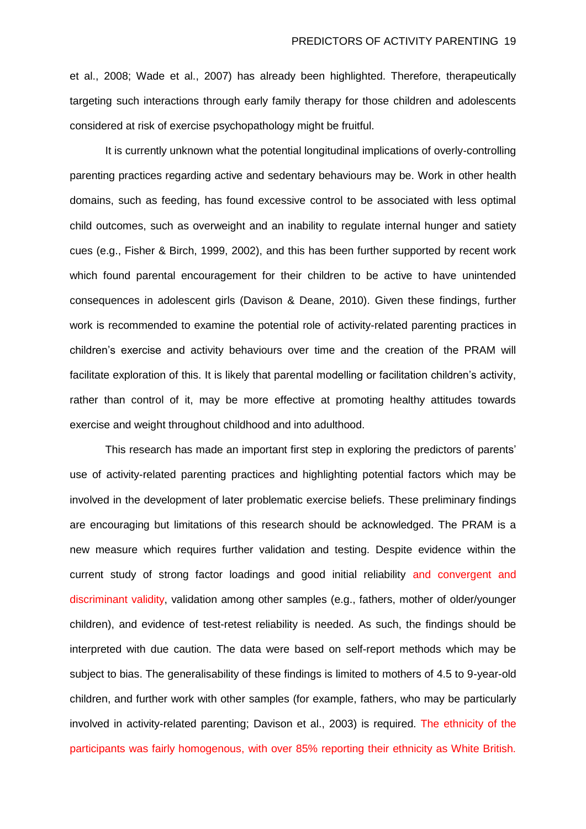et al., 2008; Wade et al., 2007) has already been highlighted. Therefore, therapeutically targeting such interactions through early family therapy for those children and adolescents considered at risk of exercise psychopathology might be fruitful.

It is currently unknown what the potential longitudinal implications of overly-controlling parenting practices regarding active and sedentary behaviours may be. Work in other health domains, such as feeding, has found excessive control to be associated with less optimal child outcomes, such as overweight and an inability to regulate internal hunger and satiety cues (e.g., Fisher & Birch, 1999, 2002), and this has been further supported by recent work which found parental encouragement for their children to be active to have unintended consequences in adolescent girls (Davison & Deane, 2010). Given these findings, further work is recommended to examine the potential role of activity-related parenting practices in children's exercise and activity behaviours over time and the creation of the PRAM will facilitate exploration of this. It is likely that parental modelling or facilitation children's activity, rather than control of it, may be more effective at promoting healthy attitudes towards exercise and weight throughout childhood and into adulthood.

This research has made an important first step in exploring the predictors of parents' use of activity-related parenting practices and highlighting potential factors which may be involved in the development of later problematic exercise beliefs. These preliminary findings are encouraging but limitations of this research should be acknowledged. The PRAM is a new measure which requires further validation and testing. Despite evidence within the current study of strong factor loadings and good initial reliability and convergent and discriminant validity, validation among other samples (e.g., fathers, mother of older/younger children), and evidence of test-retest reliability is needed. As such, the findings should be interpreted with due caution. The data were based on self-report methods which may be subject to bias. The generalisability of these findings is limited to mothers of 4.5 to 9-year-old children, and further work with other samples (for example, fathers, who may be particularly involved in activity-related parenting; Davison et al., 2003) is required. The ethnicity of the participants was fairly homogenous, with over 85% reporting their ethnicity as White British.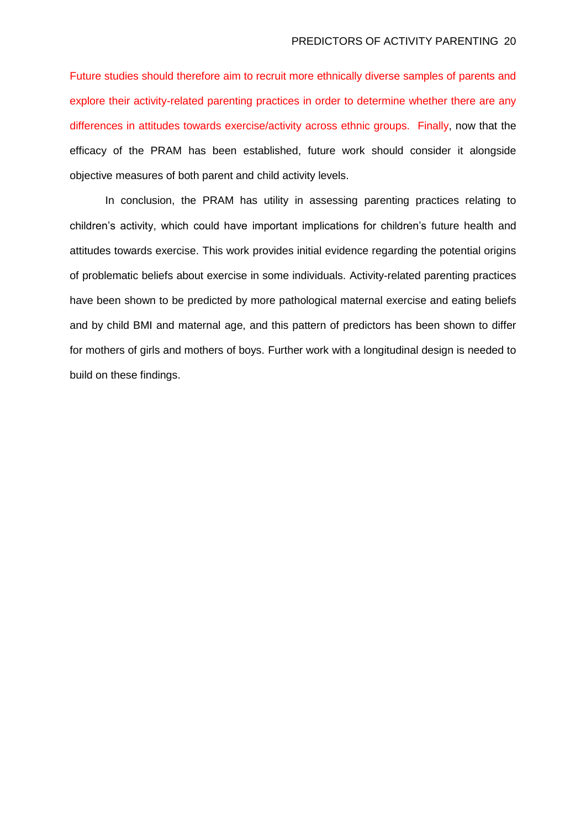Future studies should therefore aim to recruit more ethnically diverse samples of parents and explore their activity-related parenting practices in order to determine whether there are any differences in attitudes towards exercise/activity across ethnic groups. Finally, now that the efficacy of the PRAM has been established, future work should consider it alongside objective measures of both parent and child activity levels.

In conclusion, the PRAM has utility in assessing parenting practices relating to children's activity, which could have important implications for children's future health and attitudes towards exercise. This work provides initial evidence regarding the potential origins of problematic beliefs about exercise in some individuals. Activity-related parenting practices have been shown to be predicted by more pathological maternal exercise and eating beliefs and by child BMI and maternal age, and this pattern of predictors has been shown to differ for mothers of girls and mothers of boys. Further work with a longitudinal design is needed to build on these findings.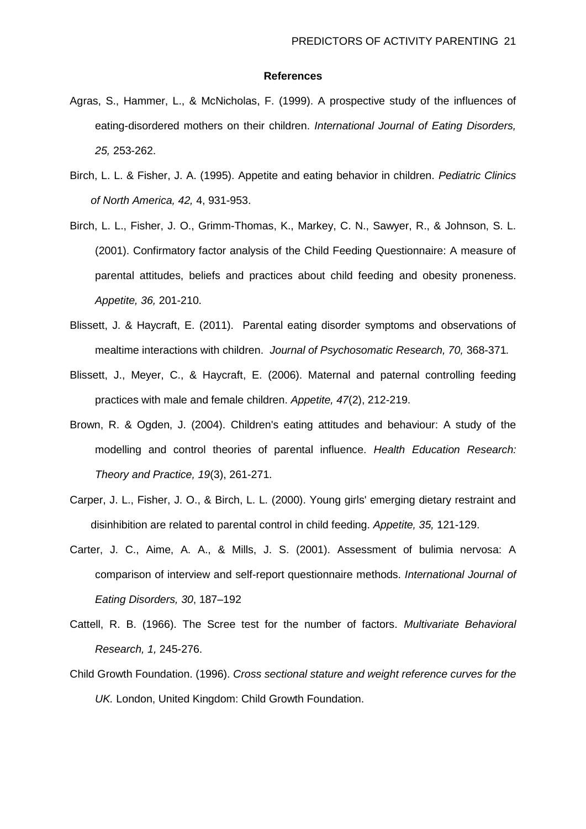#### **References**

- Agras, S., Hammer, L., & McNicholas, F. (1999). A prospective study of the influences of eating-disordered mothers on their children. *International Journal of Eating Disorders, 25,* 253-262.
- Birch, L. L. & Fisher, J. A. (1995). Appetite and eating behavior in children. *Pediatric Clinics of North America, 42,* 4, 931-953.
- Birch, L. L., Fisher, J. O., Grimm-Thomas, K., Markey, C. N., Sawyer, R., & Johnson, S. L. (2001). Confirmatory factor analysis of the Child Feeding Questionnaire: A measure of parental attitudes, beliefs and practices about child feeding and obesity proneness. *Appetite, 36,* 201-210.
- Blissett, J. & Haycraft, E. (2011). Parental eating disorder symptoms and observations of mealtime interactions with children. *Journal of Psychosomatic Research, 70,* 368-371*.*
- Blissett, J., Meyer, C., & Haycraft, E. (2006). Maternal and paternal controlling feeding practices with male and female children. *Appetite, 47*(2), 212-219.
- Brown, R. & Ogden, J. (2004). Children's eating attitudes and behaviour: A study of the modelling and control theories of parental influence. *Health Education Research: Theory and Practice, 19*(3), 261-271.
- Carper, J. L., Fisher, J. O., & Birch, L. L. (2000). Young girls' emerging dietary restraint and disinhibition are related to parental control in child feeding. *Appetite, 35,* 121-129.
- Carter, J. C., Aime, A. A., & Mills, J. S. (2001). Assessment of bulimia nervosa: A comparison of interview and self-report questionnaire methods. *International Journal of Eating Disorders, 30*, 187–192
- Cattell, R. B. (1966). The Scree test for the number of factors. *Multivariate Behavioral Research, 1,* 245-276.
- Child Growth Foundation. (1996). *Cross sectional stature and weight reference curves for the UK.* London, United Kingdom: Child Growth Foundation.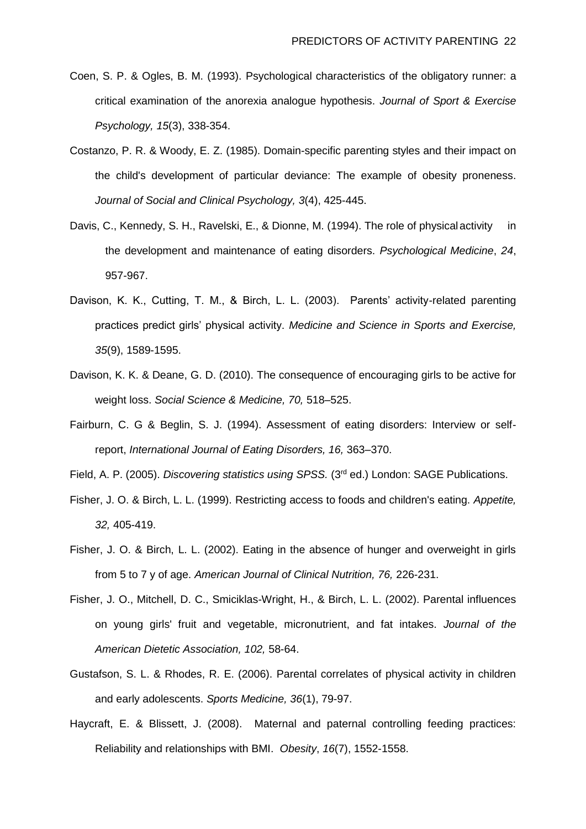- Coen, S. P. & Ogles, B. M. (1993). Psychological characteristics of the obligatory runner: a critical examination of the anorexia analogue hypothesis. *Journal of Sport & Exercise Psychology, 15*(3), 338-354.
- Costanzo, P. R. & Woody, E. Z. (1985). Domain-specific parenting styles and their impact on the child's development of particular deviance: The example of obesity proneness. *Journal of Social and Clinical Psychology, 3*(4), 425-445.
- Davis, C., Kennedy, S. H., Ravelski, E., & Dionne, M. (1994). The role of physicalactivity in the development and maintenance of eating disorders. *Psychological Medicine*, *24*, 957-967.
- Davison, K. K., Cutting, T. M., & Birch, L. L. (2003). Parents' activity-related parenting practices predict girls' physical activity. *Medicine and Science in Sports and Exercise, 35*(9), 1589-1595.
- Davison, K. K. & Deane, G. D. (2010). The consequence of encouraging girls to be active for weight loss. *Social Science & Medicine, 70,* 518–525.
- Fairburn, C. G & Beglin, S. J. (1994). Assessment of eating disorders: Interview or selfreport, *International Journal of Eating Disorders, 16,* 363–370.

Field, A. P. (2005). *Discovering statistics using SPSS.* (3rd ed.) London: SAGE Publications.

- Fisher, J. O. & Birch, L. L. (1999). Restricting access to foods and children's eating. *Appetite, 32,* 405-419.
- Fisher, J. O. & Birch, L. L. (2002). Eating in the absence of hunger and overweight in girls from 5 to 7 y of age. *American Journal of Clinical Nutrition, 76,* 226-231.
- Fisher, J. O., Mitchell, D. C., Smiciklas-Wright, H., & Birch, L. L. (2002). Parental influences on young girls' fruit and vegetable, micronutrient, and fat intakes. *Journal of the American Dietetic Association, 102,* 58-64.
- Gustafson, S. L. & Rhodes, R. E. (2006). Parental correlates of physical activity in children and early adolescents. *Sports Medicine, 36*(1), 79-97.
- Haycraft, E. & Blissett, J. (2008). Maternal and paternal controlling feeding practices: Reliability and relationships with BMI. *Obesity*, *16*(7), 1552-1558.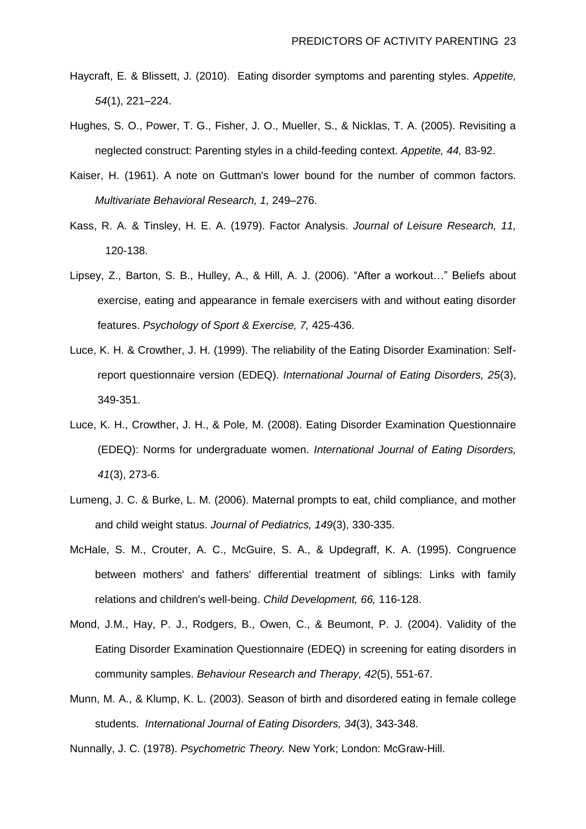- Haycraft, E. & Blissett, J. (2010). Eating disorder symptoms and parenting styles. *Appetite, 54*(1), 221–224.
- Hughes, S. O., Power, T. G., Fisher, J. O., Mueller, S., & Nicklas, T. A. (2005). Revisiting a neglected construct: Parenting styles in a child-feeding context. *Appetite, 44,* 83-92.
- Kaiser, H. (1961). A note on Guttman's lower bound for the number of common factors. *Multivariate Behavioral Research, 1,* 249–276.
- Kass, R. A. & Tinsley, H. E. A. (1979). Factor Analysis. *Journal of Leisure Research, 11,* 120-138.
- Lipsey, Z., Barton, S. B., Hulley, A., & Hill, A. J. (2006). "After a workout…" Beliefs about exercise, eating and appearance in female exercisers with and without eating disorder features. *Psychology of Sport & Exercise, 7,* 425-436.
- Luce, K. H. & Crowther, J. H. (1999). The reliability of the Eating Disorder Examination: Selfreport questionnaire version (EDEQ). *International Journal of Eating Disorders, 25*(3), 349-351.
- Luce, K. H., Crowther, J. H., & Pole, M. (2008). Eating Disorder Examination Questionnaire (EDEQ): Norms for undergraduate women. *International Journal of Eating Disorders, 41*(3), 273-6.
- Lumeng, J. C. & Burke, L. M. (2006). Maternal prompts to eat, child compliance, and mother and child weight status. *Journal of Pediatrics, 149*(3), 330-335.
- McHale, S. M., Crouter, A. C., McGuire, S. A., & Updegraff, K. A. (1995). Congruence between mothers' and fathers' differential treatment of siblings: Links with family relations and children's well-being. *Child Development, 66,* 116-128.
- Mond, J.M., Hay, P. J., Rodgers, B., Owen, C., & Beumont, P. J. (2004). Validity of the Eating Disorder Examination Questionnaire (EDEQ) in screening for eating disorders in community samples. *Behaviour Research and Therapy, 42*(5), 551-67.
- Munn, M. A., & Klump, K. L. (2003). Season of birth and disordered eating in female college students.*International Journal of Eating Disorders, 34*(3), 343-348.

Nunnally, J. C. (1978). *Psychometric Theory.* New York; London: McGraw-Hill.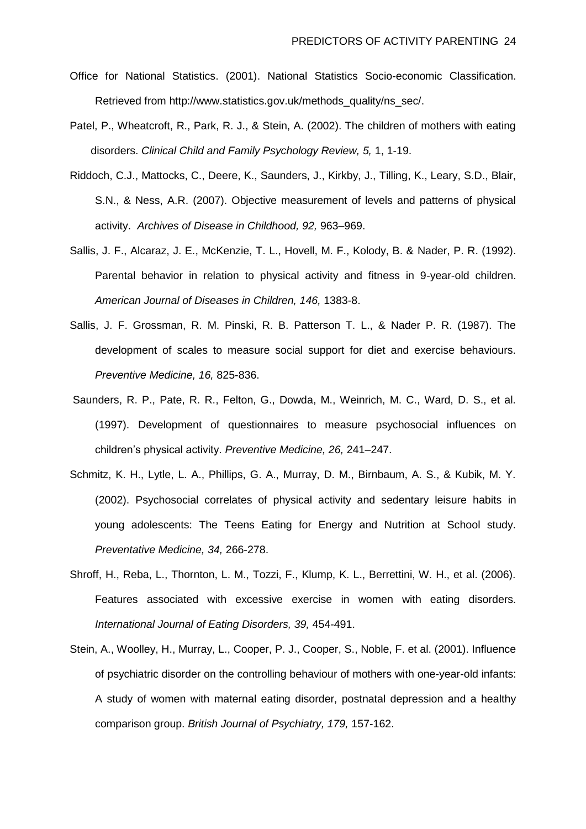- Office for National Statistics. (2001). National Statistics Socio-economic Classification. Retrieved from http://www.statistics.gov.uk/methods\_quality/ns\_sec/.
- Patel, P., Wheatcroft, R., Park, R. J., & Stein, A. (2002). The children of mothers with eating disorders. *Clinical Child and Family Psychology Review, 5,* 1, 1-19.
- Riddoch, C.J., Mattocks, C., Deere, K., Saunders, J., Kirkby, J., Tilling, K., Leary, S.D., Blair, S.N., & Ness, A.R. (2007). Objective measurement of levels and patterns of physical activity. *Archives of Disease in Childhood, 92,* 963–969.
- Sallis, J. F., Alcaraz, J. E., McKenzie, T. L., Hovell, M. F., Kolody, B. & Nader, P. R. (1992). Parental behavior in relation to physical activity and fitness in 9-year-old children. *American Journal of Diseases in Children, 146,* 1383-8.
- Sallis, J. F. Grossman, R. M. Pinski, R. B. Patterson T. L., & Nader P. R. (1987). The development of scales to measure social support for diet and exercise behaviours. *Preventive Medicine, 16,* 825-836.
- Saunders, R. P., Pate, R. R., Felton, G., Dowda, M., Weinrich, M. C., Ward, D. S., et al. (1997). Development of questionnaires to measure psychosocial influences on children's physical activity. *Preventive Medicine, 26,* 241–247.
- Schmitz, K. H., Lytle, L. A., Phillips, G. A., Murray, D. M., Birnbaum, A. S., & Kubik, M. Y. (2002). Psychosocial correlates of physical activity and sedentary leisure habits in young adolescents: The Teens Eating for Energy and Nutrition at School study. *Preventative Medicine, 34,* 266-278.
- Shroff, H., Reba, L., Thornton, L. M., Tozzi, F., Klump, K. L., Berrettini, W. H., et al. (2006). Features associated with excessive exercise in women with eating disorders. *International Journal of Eating Disorders, 39,* 454-491.
- Stein, A., Woolley, H., Murray, L., Cooper, P. J., Cooper, S., Noble, F. et al. (2001). Influence of psychiatric disorder on the controlling behaviour of mothers with one-year-old infants: A study of women with maternal eating disorder, postnatal depression and a healthy comparison group. *British Journal of Psychiatry, 179,* 157-162.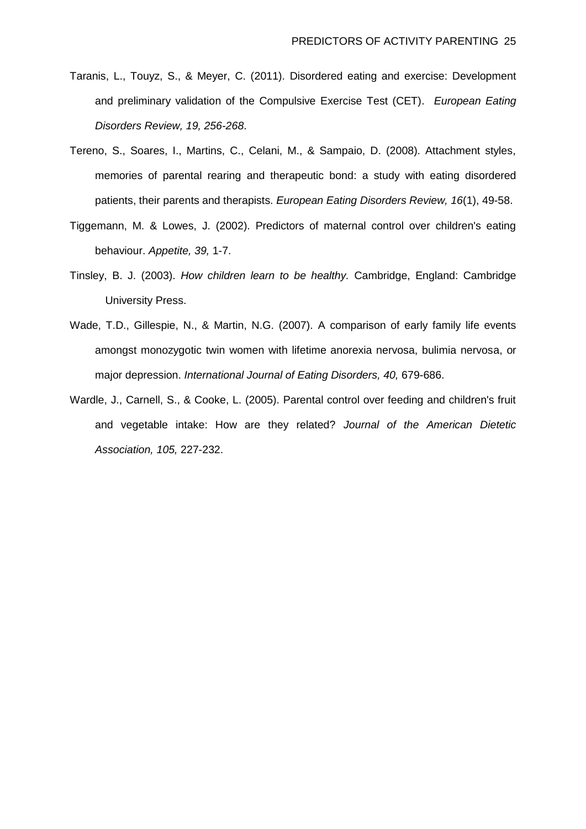- Taranis, L., Touyz, S., & Meyer, C. (2011). Disordered eating and exercise: Development and preliminary validation of the Compulsive Exercise Test (CET). *European Eating Disorders Review, 19, 256-268*.
- Tereno, S., Soares, I., Martins, C., Celani, M., & Sampaio, D. (2008). Attachment styles, memories of parental rearing and therapeutic bond: a study with eating disordered patients, their parents and therapists. *European Eating Disorders Review, 16*(1), 49-58.
- Tiggemann, M. & Lowes, J. (2002). Predictors of maternal control over children's eating behaviour. *Appetite, 39,* 1-7.
- Tinsley, B. J. (2003). *How children learn to be healthy.* Cambridge, England: Cambridge University Press.
- Wade, T.D., Gillespie, N., & Martin, N.G. (2007). A comparison of early family life events amongst monozygotic twin women with lifetime anorexia nervosa, bulimia nervosa, or major depression. *International Journal of Eating Disorders, 40,* 679-686.
- Wardle, J., Carnell, S., & Cooke, L. (2005). Parental control over feeding and children's fruit and vegetable intake: How are they related? *Journal of the American Dietetic Association, 105,* 227-232.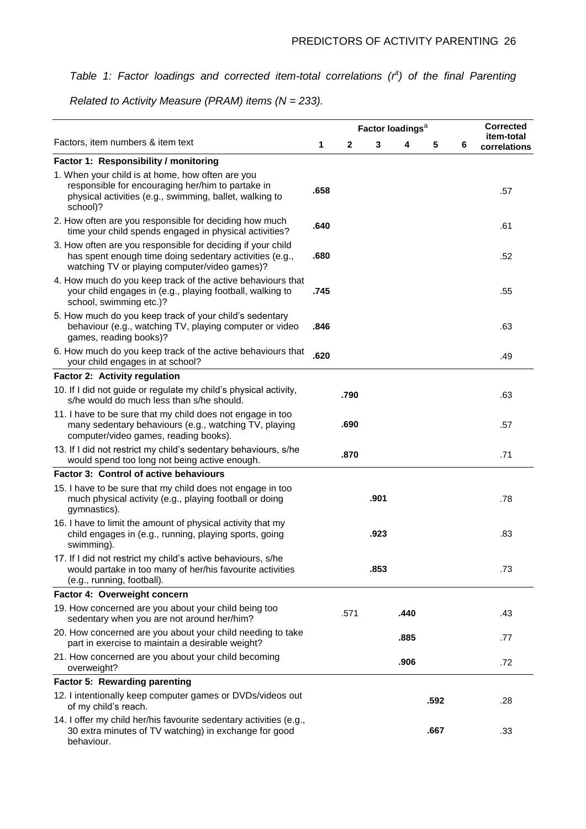## *Table 1: Factor loadings and corrected item-total correlations (rit) of the final Parenting*

*Related to Activity Measure (PRAM) items (N = 233).*

|                                                                                                                                                                              | Factor loadings <sup>a</sup> |             |      |      |      |   | <b>Corrected</b>           |
|------------------------------------------------------------------------------------------------------------------------------------------------------------------------------|------------------------------|-------------|------|------|------|---|----------------------------|
| Factors, item numbers & item text                                                                                                                                            |                              | $\mathbf 2$ | 3    | 4    | 5    | 6 | item-total<br>correlations |
| Factor 1: Responsibility / monitoring                                                                                                                                        |                              |             |      |      |      |   |                            |
| 1. When your child is at home, how often are you<br>responsible for encouraging her/him to partake in<br>physical activities (e.g., swimming, ballet, walking to<br>school)? | .658                         |             |      |      |      |   | .57                        |
| 2. How often are you responsible for deciding how much<br>time your child spends engaged in physical activities?                                                             | .640                         |             |      |      |      |   | .61                        |
| 3. How often are you responsible for deciding if your child<br>has spent enough time doing sedentary activities (e.g.,<br>watching TV or playing computer/video games)?      | .680                         |             |      |      |      |   | .52                        |
| 4. How much do you keep track of the active behaviours that<br>your child engages in (e.g., playing football, walking to<br>school, swimming etc.)?                          | .745                         |             |      |      |      |   | .55                        |
| 5. How much do you keep track of your child's sedentary<br>behaviour (e.g., watching TV, playing computer or video<br>games, reading books)?                                 | .846                         |             |      |      |      |   | .63                        |
| 6. How much do you keep track of the active behaviours that<br>your child engages in at school?                                                                              | .620                         |             |      |      |      |   | .49                        |
| Factor 2: Activity regulation                                                                                                                                                |                              |             |      |      |      |   |                            |
| 10. If I did not guide or regulate my child's physical activity,<br>s/he would do much less than s/he should.                                                                |                              | .790        |      |      |      |   | .63                        |
| 11. I have to be sure that my child does not engage in too<br>many sedentary behaviours (e.g., watching TV, playing<br>computer/video games, reading books).                 |                              | .690        |      |      |      |   | .57                        |
| 13. If I did not restrict my child's sedentary behaviours, s/he<br>would spend too long not being active enough.                                                             | .870                         |             |      | .71  |      |   |                            |
| Factor 3: Control of active behaviours                                                                                                                                       |                              |             |      |      |      |   |                            |
| 15. I have to be sure that my child does not engage in too<br>much physical activity (e.g., playing football or doing<br>gymnastics).                                        |                              |             | .901 |      |      |   | .78                        |
| 16. I have to limit the amount of physical activity that my<br>child engages in (e.g., running, playing sports, going<br>swimming).                                          |                              |             | .923 |      |      |   | .83                        |
| 17. If I did not restrict my child's active behaviours, s/he<br>would partake in too many of her/his favourite activities<br>(e.g., running, football).                      |                              |             | .853 |      |      |   | .73                        |
| Factor 4: Overweight concern                                                                                                                                                 |                              |             |      |      |      |   |                            |
| 19. How concerned are you about your child being too<br>sedentary when you are not around her/him?                                                                           |                              | .571        |      | .440 |      |   | .43                        |
| 20. How concerned are you about your child needing to take<br>part in exercise to maintain a desirable weight?                                                               |                              |             |      | .885 |      |   | .77                        |
| 21. How concerned are you about your child becoming<br>overweight?                                                                                                           |                              |             |      | .906 |      |   | .72                        |
| Factor 5: Rewarding parenting                                                                                                                                                |                              |             |      |      |      |   |                            |
| 12. I intentionally keep computer games or DVDs/videos out<br>of my child's reach.                                                                                           |                              |             |      |      | .592 |   | .28                        |
| 14. I offer my child her/his favourite sedentary activities (e.g.,<br>30 extra minutes of TV watching) in exchange for good<br>behaviour.                                    |                              |             |      |      | .667 |   | .33                        |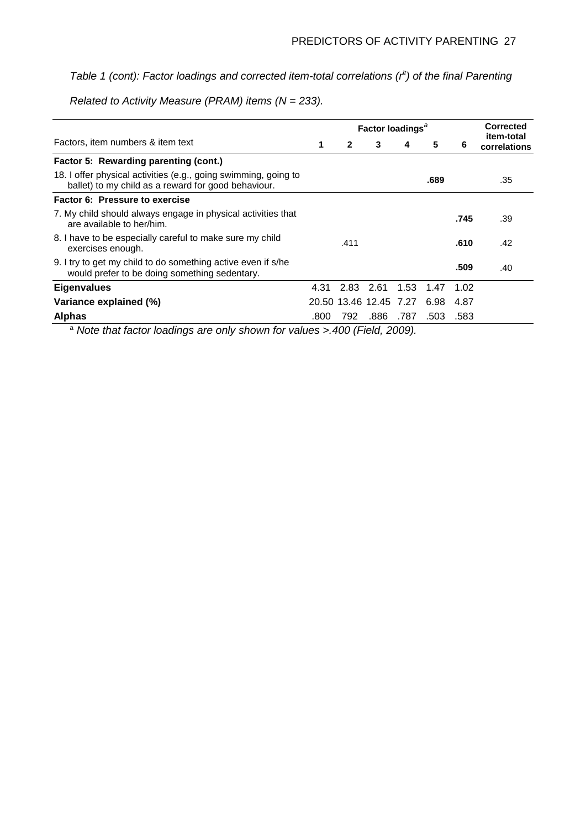## *Table 1 (cont): Factor loadings and corrected item-total correlations (rit) of the final Parenting*

*Related to Activity Measure (PRAM) items (N = 233).*

|                                                                                                                        | Factor loadings <sup>a</sup> |              |                        |      |      |      | <b>Corrected</b>           |  |
|------------------------------------------------------------------------------------------------------------------------|------------------------------|--------------|------------------------|------|------|------|----------------------------|--|
| Factors, item numbers & item text                                                                                      | 1                            | $\mathbf{2}$ | 3                      |      | 5    | 6    | item-total<br>correlations |  |
| Factor 5: Rewarding parenting (cont.)                                                                                  |                              |              |                        |      |      |      |                            |  |
| 18. I offer physical activities (e.g., going swimming, going to<br>ballet) to my child as a reward for good behaviour. |                              |              |                        |      | .689 |      | .35                        |  |
| <b>Factor 6: Pressure to exercise</b>                                                                                  |                              |              |                        |      |      |      |                            |  |
| 7. My child should always engage in physical activities that<br>are available to her/him.                              |                              |              |                        |      |      | .745 | .39                        |  |
| 8. I have to be especially careful to make sure my child<br>exercises enough.                                          |                              | .411         |                        |      |      | .610 | .42                        |  |
| 9. I try to get my child to do something active even if s/he<br>would prefer to be doing something sedentary.          |                              |              |                        |      |      | .509 | .40                        |  |
| <b>Eigenvalues</b>                                                                                                     | 4.31                         |              | 2.83 2.61              | 1.53 | 1.47 | 1.02 |                            |  |
| Variance explained (%)                                                                                                 |                              |              | 20.50 13.46 12.45 7.27 |      | 6.98 | 4.87 |                            |  |
| <b>Alphas</b>                                                                                                          | .800                         | 792.         | .886                   | .787 | .503 | .583 |                            |  |

<sup>a</sup> *Note that factor loadings are only shown for values >.400 (Field, 2009).*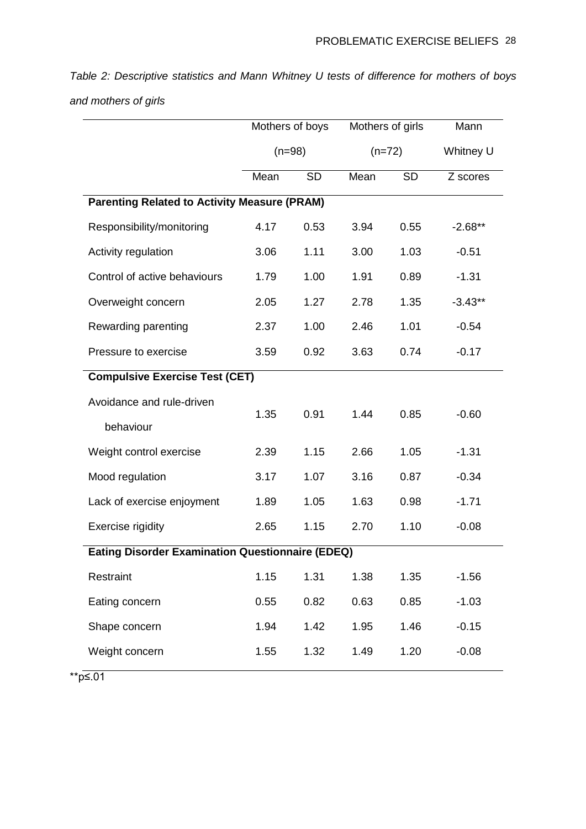*Table 2: Descriptive statistics and Mann Whitney U tests of difference for mothers of boys and mothers of girls*

|                                                         | Mothers of boys |           | Mothers of girls |           | Mann      |  |  |  |  |
|---------------------------------------------------------|-----------------|-----------|------------------|-----------|-----------|--|--|--|--|
|                                                         | $(n=98)$        |           | $(n=72)$         |           | Whitney U |  |  |  |  |
|                                                         | Mean            | <b>SD</b> | Mean             | <b>SD</b> | Z scores  |  |  |  |  |
| <b>Parenting Related to Activity Measure (PRAM)</b>     |                 |           |                  |           |           |  |  |  |  |
| Responsibility/monitoring                               | 4.17            | 0.53      | 3.94             | 0.55      | $-2.68**$ |  |  |  |  |
| Activity regulation                                     | 3.06            | 1.11      | 3.00             | 1.03      | $-0.51$   |  |  |  |  |
| Control of active behaviours                            | 1.79            | 1.00      | 1.91             | 0.89      | $-1.31$   |  |  |  |  |
| Overweight concern                                      | 2.05            | 1.27      | 2.78             | 1.35      | $-3.43**$ |  |  |  |  |
| Rewarding parenting                                     | 2.37            | 1.00      | 2.46             | 1.01      | $-0.54$   |  |  |  |  |
| Pressure to exercise                                    | 3.59            | 0.92      | 3.63             | 0.74      | $-0.17$   |  |  |  |  |
| <b>Compulsive Exercise Test (CET)</b>                   |                 |           |                  |           |           |  |  |  |  |
| Avoidance and rule-driven                               | 1.35            | 0.91      | 1.44             | 0.85      | $-0.60$   |  |  |  |  |
| behaviour                                               |                 |           |                  |           |           |  |  |  |  |
| Weight control exercise                                 | 2.39            | 1.15      | 2.66             | 1.05      | $-1.31$   |  |  |  |  |
| Mood regulation                                         | 3.17            | 1.07      | 3.16             | 0.87      | $-0.34$   |  |  |  |  |
| Lack of exercise enjoyment                              | 1.89            | 1.05      | 1.63             | 0.98      | $-1.71$   |  |  |  |  |
| Exercise rigidity                                       | 2.65            | 1.15      | 2.70             | 1.10      | $-0.08$   |  |  |  |  |
| <b>Eating Disorder Examination Questionnaire (EDEQ)</b> |                 |           |                  |           |           |  |  |  |  |
| Restraint                                               | 1.15            | 1.31      | 1.38             | 1.35      | $-1.56$   |  |  |  |  |
| Eating concern                                          | 0.55            | 0.82      | 0.63             | 0.85      | $-1.03$   |  |  |  |  |
| Shape concern                                           | 1.94            | 1.42      | 1.95             | 1.46      | $-0.15$   |  |  |  |  |
| Weight concern                                          | 1.55            | 1.32      | 1.49             | 1.20      | $-0.08$   |  |  |  |  |

\*\*p≤.01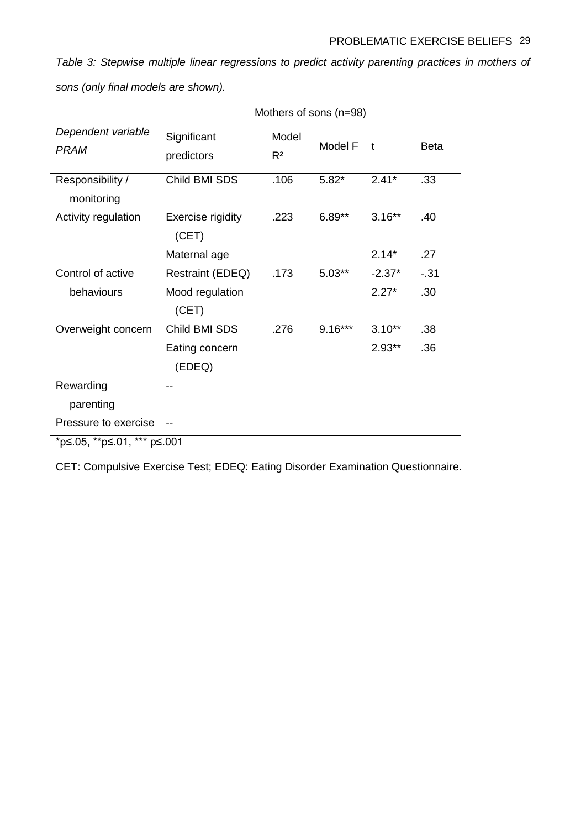*Table 3: Stepwise multiple linear regressions to predict activity parenting practices in mothers of* 

|                                | Mothers of sons (n=98)     |                |           |          |             |  |  |  |
|--------------------------------|----------------------------|----------------|-----------|----------|-------------|--|--|--|
| Dependent variable             | Significant                | Model          | Model F   | t        | <b>Beta</b> |  |  |  |
| <b>PRAM</b>                    | predictors                 | R <sup>2</sup> |           |          |             |  |  |  |
| Responsibility /<br>monitoring | Child BMI SDS              | .106           | $5.82*$   | $2.41*$  | .33         |  |  |  |
| Activity regulation            | Exercise rigidity<br>(CET) | .223           | $6.89**$  | $3.16**$ | .40         |  |  |  |
|                                | Maternal age               |                |           | $2.14*$  | .27         |  |  |  |
| Control of active              | Restraint (EDEQ)           | .173           | $5.03**$  | $-2.37*$ | $-31$       |  |  |  |
| behaviours                     | Mood regulation<br>(CET)   |                |           | $2.27*$  | .30         |  |  |  |
| Overweight concern             | Child BMI SDS              | .276           | $9.16***$ | $3.10**$ | .38         |  |  |  |
|                                | Eating concern<br>(EDEQ)   |                |           | $2.93**$ | .36         |  |  |  |
| Rewarding                      |                            |                |           |          |             |  |  |  |
| parenting                      |                            |                |           |          |             |  |  |  |
| Pressure to exercise           |                            |                |           |          |             |  |  |  |
| *p≤.05, **p≤.01, *** p≤.001    |                            |                |           |          |             |  |  |  |

*sons (only final models are shown).*

CET: Compulsive Exercise Test; EDEQ: Eating Disorder Examination Questionnaire.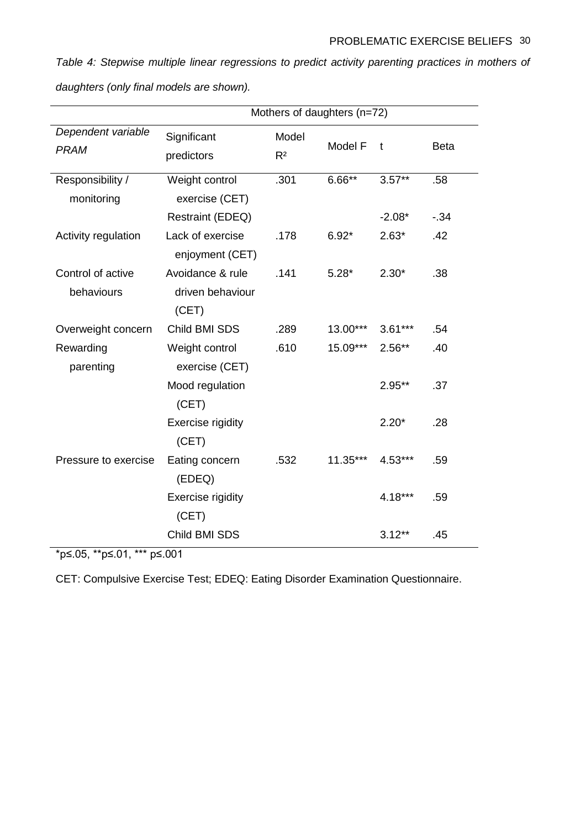*Table 4: Stepwise multiple linear regressions to predict activity parenting practices in mothers of daughters (only final models are shown).*

|                                   | Mothers of daughters (n=72)                   |                         |            |              |             |  |  |  |
|-----------------------------------|-----------------------------------------------|-------------------------|------------|--------------|-------------|--|--|--|
| Dependent variable<br><b>PRAM</b> | Significant<br>predictors                     | Model<br>R <sup>2</sup> | Model F    | $\mathbf{t}$ | <b>Beta</b> |  |  |  |
| Responsibility /<br>monitoring    | Weight control<br>exercise (CET)              | .301                    | $6.66***$  | $3.57***$    | .58         |  |  |  |
|                                   | Restraint (EDEQ)                              |                         |            | $-2.08*$     | $-34$       |  |  |  |
| Activity regulation               | Lack of exercise<br>enjoyment (CET)           | .178                    | $6.92*$    | $2.63*$      | .42         |  |  |  |
| Control of active<br>behaviours   | Avoidance & rule<br>driven behaviour<br>(CET) | .141                    | $5.28*$    | $2.30*$      | .38         |  |  |  |
| Overweight concern                | Child BMI SDS                                 | .289                    | 13.00***   | $3.61***$    | .54         |  |  |  |
| Rewarding<br>parenting            | Weight control<br>exercise (CET)              | .610                    | 15.09***   | $2.56**$     | .40         |  |  |  |
|                                   | Mood regulation<br>(CET)                      |                         |            | $2.95**$     | .37         |  |  |  |
|                                   | <b>Exercise rigidity</b><br>(CET)             |                         |            | $2.20*$      | .28         |  |  |  |
| Pressure to exercise              | Eating concern<br>(EDEQ)                      | .532                    | $11.35***$ | $4.53***$    | .59         |  |  |  |
|                                   | <b>Exercise rigidity</b><br>(CET)             |                         |            | 4.18***      | .59         |  |  |  |
|                                   | Child BMI SDS                                 |                         |            | $3.12***$    | .45         |  |  |  |

\*p≤.05, \*\*p≤.01, \*\*\* p≤.001

CET: Compulsive Exercise Test; EDEQ: Eating Disorder Examination Questionnaire.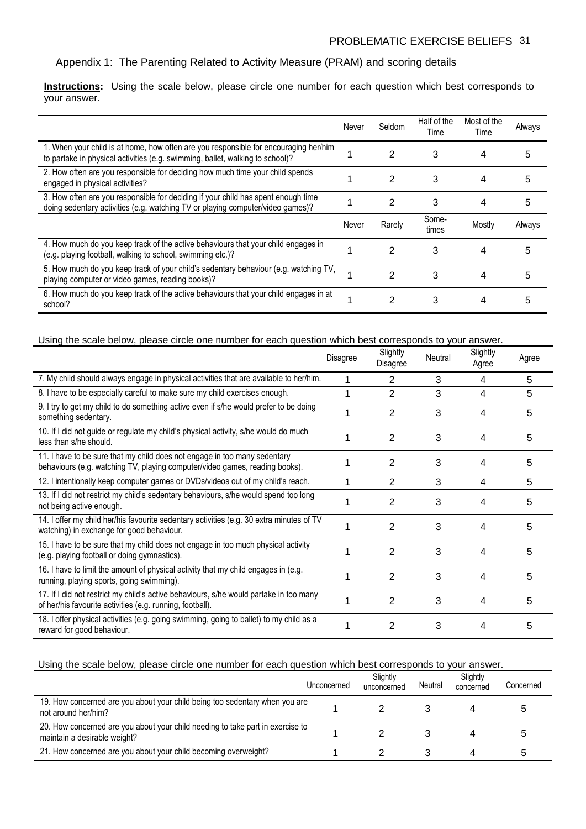## Appendix 1: The Parenting Related to Activity Measure (PRAM) and scoring details

**Instructions:** Using the scale below, please circle one number for each question which best corresponds to your answer.

|                                                                                                                                                                       | Never | Seldom | Half of the<br>Time | Most of the<br>Time | Always |
|-----------------------------------------------------------------------------------------------------------------------------------------------------------------------|-------|--------|---------------------|---------------------|--------|
| 1. When your child is at home, how often are you responsible for encouraging her/him<br>to partake in physical activities (e.g. swimming, ballet, walking to school)? |       | 2      | 3                   | 4                   | 5      |
| 2. How often are you responsible for deciding how much time your child spends<br>engaged in physical activities?                                                      |       | 2      | 3                   | 4                   | 5      |
| 3. How often are you responsible for deciding if your child has spent enough time<br>doing sedentary activities (e.g. watching TV or playing computer/video games)?   |       | 2      | 3                   | 4                   | 5      |
|                                                                                                                                                                       | Never | Rarely | Some-<br>times      | Mostly              | Always |
| 4. How much do you keep track of the active behaviours that your child engages in<br>(e.g. playing football, walking to school, swimming etc.)?                       |       | 2      | 3                   | 4                   | 5      |
| 5. How much do you keep track of your child's sedentary behaviour (e.g. watching TV,<br>playing computer or video games, reading books)?                              |       | 2      | 3                   | 4                   |        |
| 6. How much do you keep track of the active behaviours that your child engages in at<br>school?                                                                       |       | 2      | 3                   | 4                   |        |

#### Using the scale below, please circle one number for each question which best corresponds to your answer.

|                                                                                                                                                          | Disagree | Slightly<br>Disagree | Neutral | Slightly<br>Agree | Agree |
|----------------------------------------------------------------------------------------------------------------------------------------------------------|----------|----------------------|---------|-------------------|-------|
| 7. My child should always engage in physical activities that are available to her/him.                                                                   |          | 2                    | 3       | 4                 | 5     |
| 8. I have to be especially careful to make sure my child exercises enough.                                                                               |          | 2                    | 3       | 4                 | 5     |
| 9. I try to get my child to do something active even if s/he would prefer to be doing<br>something sedentary.                                            |          | $\overline{2}$       | 3       | 4                 | 5     |
| 10. If I did not guide or regulate my child's physical activity, s/he would do much<br>less than s/he should.                                            |          | 2                    | 3       | 4                 | 5     |
| 11. I have to be sure that my child does not engage in too many sedentary<br>behaviours (e.g. watching TV, playing computer/video games, reading books). |          | 2                    | 3       | 4                 | 5     |
| 12. I intentionally keep computer games or DVDs/videos out of my child's reach.                                                                          |          | 2                    | 3       | 4                 | 5     |
| 13. If I did not restrict my child's sedentary behaviours, s/he would spend too long<br>not being active enough.                                         |          | 2                    | 3       | 4                 | 5     |
| 14. I offer my child her/his favourite sedentary activities (e.g. 30 extra minutes of TV<br>watching) in exchange for good behaviour.                    |          | 2                    | 3       | 4                 | 5     |
| 15. I have to be sure that my child does not engage in too much physical activity<br>(e.g. playing football or doing gymnastics).                        |          | 2                    | 3       | 4                 | 5     |
| 16. I have to limit the amount of physical activity that my child engages in (e.g.<br>running, playing sports, going swimming).                          |          | 2                    | 3       | 4                 | 5     |
| 17. If I did not restrict my child's active behaviours, s/he would partake in too many<br>of her/his favourite activities (e.g. running, football).      |          | 2                    | 3       | 4                 | 5     |
| 18. I offer physical activities (e.g. going swimming, going to ballet) to my child as a<br>reward for good behaviour.                                    |          | 2                    | 3       | 4                 | 5     |

## Using the scale below, please circle one number for each question which best corresponds to your answer.

|                                                                                                                | Unconcerned | Slightly<br>unconcerned | Neutral | Slightly<br>concerned | Concerned |
|----------------------------------------------------------------------------------------------------------------|-------------|-------------------------|---------|-----------------------|-----------|
| 19. How concerned are you about your child being too sedentary when you are<br>not around her/him?             |             |                         |         |                       |           |
| 20. How concerned are you about your child needing to take part in exercise to<br>maintain a desirable weight? |             |                         |         |                       |           |
| 21. How concerned are you about your child becoming overweight?                                                |             |                         |         |                       |           |